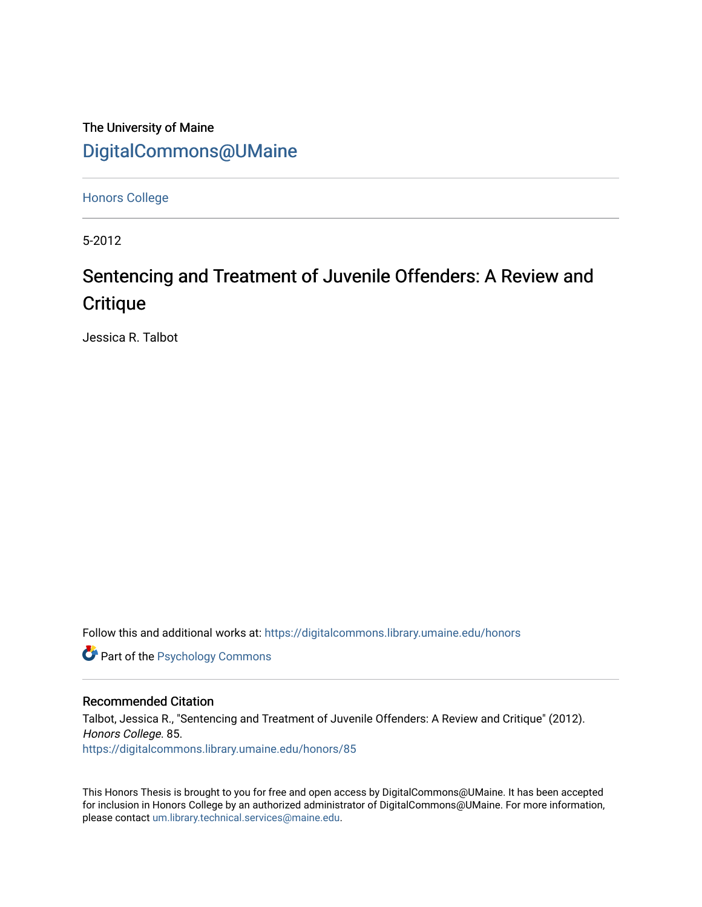The University of Maine [DigitalCommons@UMaine](https://digitalcommons.library.umaine.edu/)

[Honors College](https://digitalcommons.library.umaine.edu/honors)

5-2012

# Sentencing and Treatment of Juvenile Offenders: A Review and **Critique**

Jessica R. Talbot

Follow this and additional works at: [https://digitalcommons.library.umaine.edu/honors](https://digitalcommons.library.umaine.edu/honors?utm_source=digitalcommons.library.umaine.edu%2Fhonors%2F85&utm_medium=PDF&utm_campaign=PDFCoverPages) 

**Part of the Psychology Commons** 

# Recommended Citation

Talbot, Jessica R., "Sentencing and Treatment of Juvenile Offenders: A Review and Critique" (2012). Honors College. 85. [https://digitalcommons.library.umaine.edu/honors/85](https://digitalcommons.library.umaine.edu/honors/85?utm_source=digitalcommons.library.umaine.edu%2Fhonors%2F85&utm_medium=PDF&utm_campaign=PDFCoverPages) 

This Honors Thesis is brought to you for free and open access by DigitalCommons@UMaine. It has been accepted for inclusion in Honors College by an authorized administrator of DigitalCommons@UMaine. For more information, please contact [um.library.technical.services@maine.edu.](mailto:um.library.technical.services@maine.edu)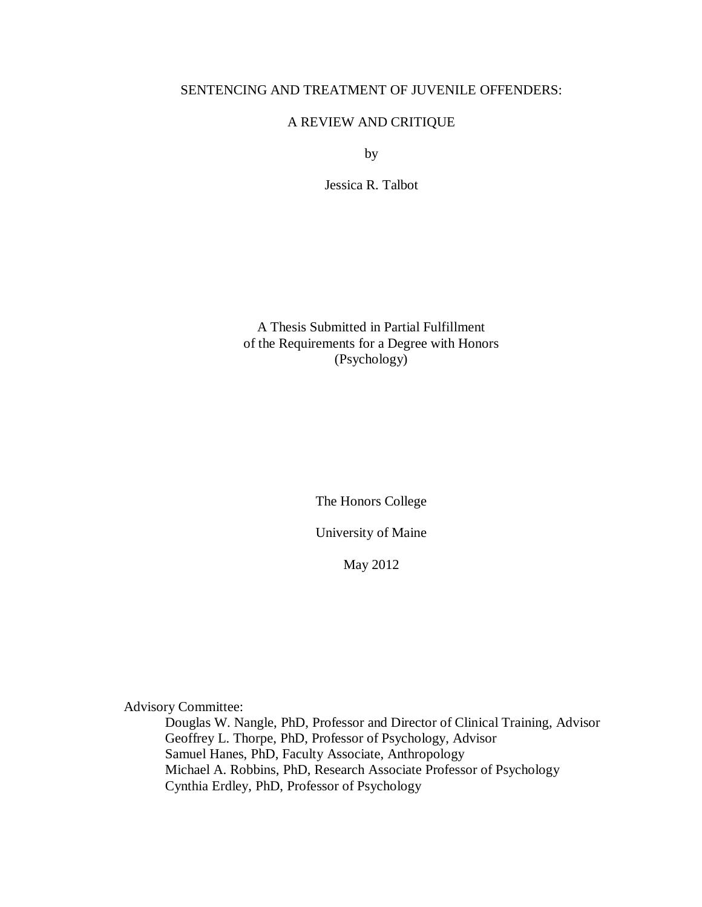# SENTENCING AND TREATMENT OF JUVENILE OFFENDERS:

# A REVIEW AND CRITIQUE

by

Jessica R. Talbot

A Thesis Submitted in Partial Fulfillment of the Requirements for a Degree with Honors (Psychology)

The Honors College

University of Maine

May 2012

Advisory Committee:

Douglas W. Nangle, PhD, Professor and Director of Clinical Training, Advisor Geoffrey L. Thorpe, PhD, Professor of Psychology, Advisor Samuel Hanes, PhD, Faculty Associate, Anthropology Michael A. Robbins, PhD, Research Associate Professor of Psychology Cynthia Erdley, PhD, Professor of Psychology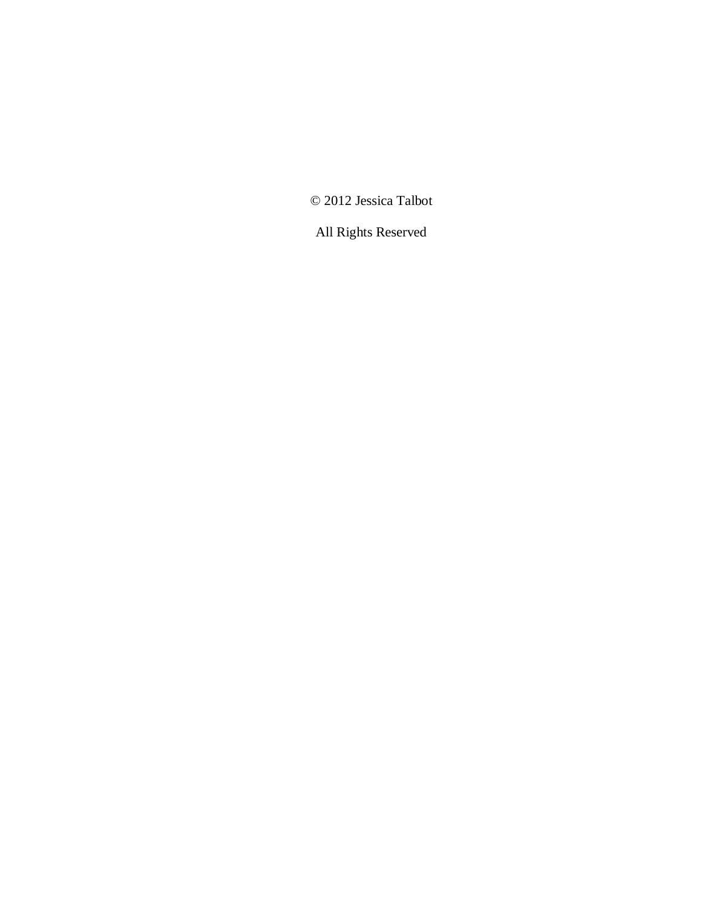© 2012 Jessica Talbot

All Rights Reserved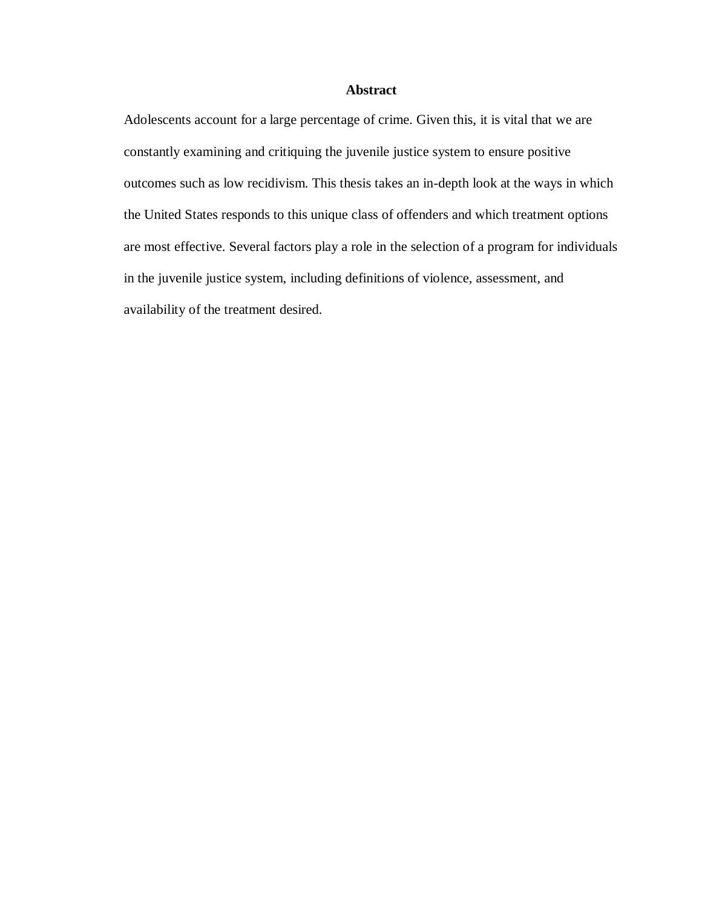# **Abstract**

Adolescents account for a large percentage of crime. Given this, it is vital that we are constantly examining and critiquing the juvenile justice system to ensure positive outcomes such as low recidivism. This thesis takes an in-depth look at the ways in which the United States responds to this unique class of offenders and which treatment options are most effective. Several factors play a role in the selection of a program for individuals in the juvenile justice system, including definitions of violence, assessment, and availability of the treatment desired.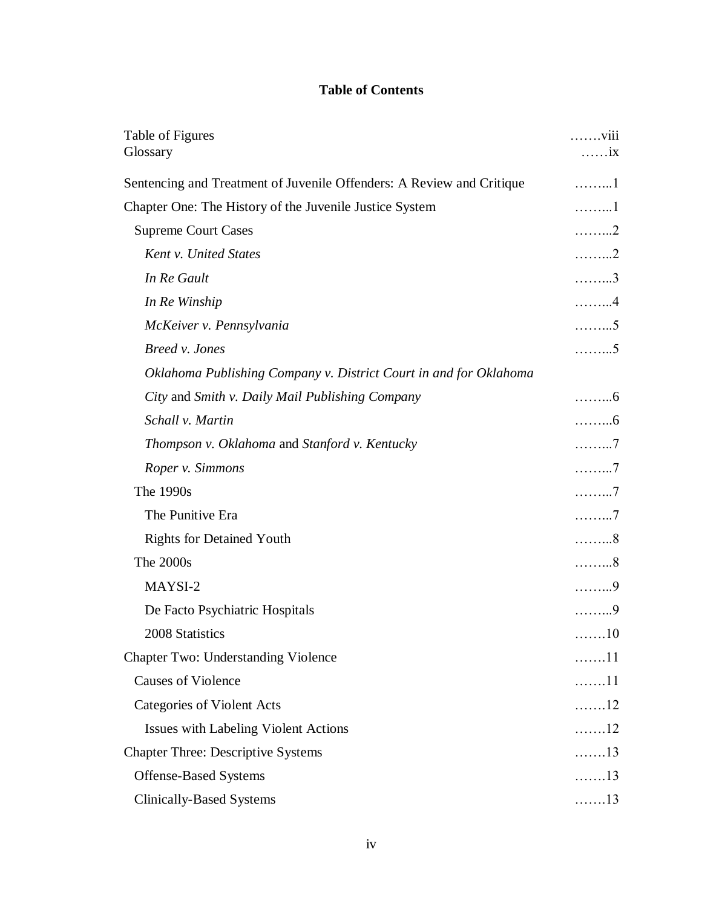# **Table of Contents**

| Table of Figures<br>Glossary                                          | . viii<br>$\ldots$ $\dot{x}$ |
|-----------------------------------------------------------------------|------------------------------|
| Sentencing and Treatment of Juvenile Offenders: A Review and Critique | . 1                          |
| Chapter One: The History of the Juvenile Justice System               | 1                            |
| <b>Supreme Court Cases</b>                                            | . 2                          |
| <b>Kent v. United States</b>                                          | . 2                          |
| In Re Gault                                                           | . 3                          |
| In Re Winship                                                         | . 4                          |
| McKeiver v. Pennsylvania                                              | . 5                          |
| Breed v. Jones                                                        | . 5                          |
| Oklahoma Publishing Company v. District Court in and for Oklahoma     |                              |
| City and Smith v. Daily Mail Publishing Company                       | . 6                          |
| Schall v. Martin                                                      | . 6                          |
| Thompson v. Oklahoma and Stanford v. Kentucky                         | . 7                          |
| Roper v. Simmons                                                      | . 7                          |
| The 1990s                                                             | . 7                          |
| The Punitive Era                                                      | . 7                          |
| <b>Rights for Detained Youth</b>                                      | . 8                          |
| The 2000s                                                             | . 8                          |
| MAYSI-2                                                               | . 9                          |
| De Facto Psychiatric Hospitals                                        | . 9                          |
| 2008 Statistics                                                       | 10                           |
| <b>Chapter Two: Understanding Violence</b>                            | . 11                         |
| <b>Causes of Violence</b>                                             | 11                           |
| <b>Categories of Violent Acts</b>                                     | 12                           |
| <b>Issues with Labeling Violent Actions</b>                           | 12                           |
| <b>Chapter Three: Descriptive Systems</b>                             | $\ldots \ldots 13$           |
| <b>Offense-Based Systems</b>                                          | 13                           |
| <b>Clinically-Based Systems</b>                                       | 13                           |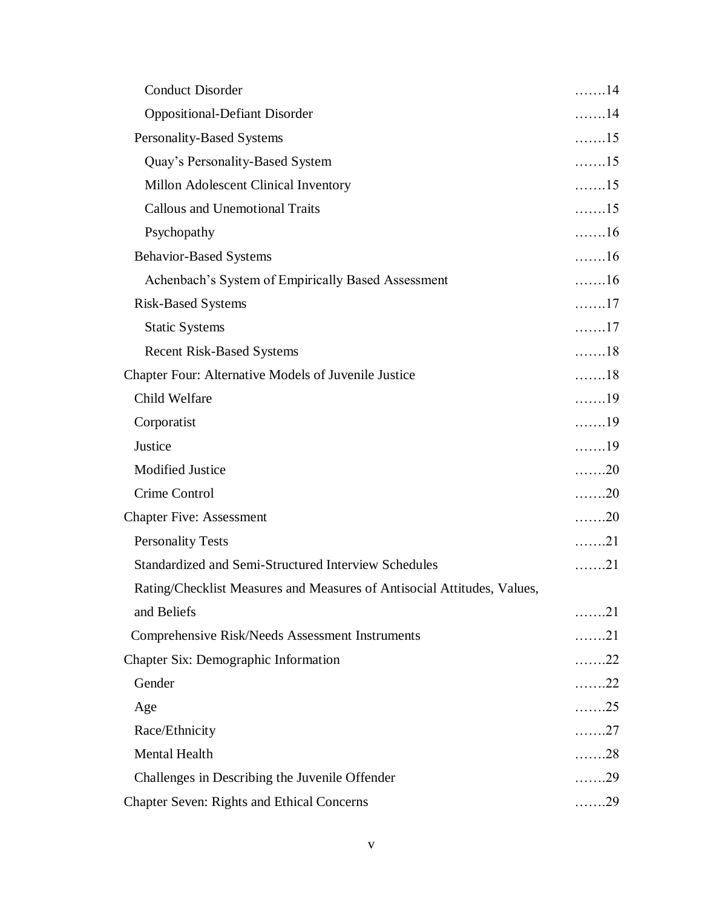| <b>Conduct Disorder</b>                                                 | . 14               |
|-------------------------------------------------------------------------|--------------------|
| <b>Oppositional-Defiant Disorder</b>                                    | $\ldots$ 14        |
| Personality-Based Systems                                               | $\ldots \ldots 15$ |
| Quay's Personality-Based System                                         | $\ldots \ldots 15$ |
| Millon Adolescent Clinical Inventory                                    | $\ldots \ldots 15$ |
| <b>Callous and Unemotional Traits</b>                                   | $\ldots \ldots 15$ |
| Psychopathy                                                             | $\ldots \ldots 16$ |
| <b>Behavior-Based Systems</b>                                           | $\ldots \ldots 16$ |
| Achenbach's System of Empirically Based Assessment                      | $\ldots \ldots 16$ |
| <b>Risk-Based Systems</b>                                               | . 17               |
| <b>Static Systems</b>                                                   | $\ldots \ldots 17$ |
| <b>Recent Risk-Based Systems</b>                                        | $\ldots \ldots 18$ |
| Chapter Four: Alternative Models of Juvenile Justice                    | $\ldots \ldots 18$ |
| Child Welfare                                                           | $\ldots \ldots 19$ |
| Corporatist                                                             | $\ldots \ldots 19$ |
| Justice                                                                 | $\ldots \ldots 19$ |
| <b>Modified Justice</b>                                                 | 20                 |
| Crime Control                                                           | $\ldots \ldots 20$ |
| <b>Chapter Five: Assessment</b>                                         | $\ldots \ldots 20$ |
| <b>Personality Tests</b>                                                | 21                 |
| Standardized and Semi-Structured Interview Schedules                    | . 21               |
| Rating/Checklist Measures and Measures of Antisocial Attitudes, Values, |                    |
| and Beliefs                                                             | . 21               |
| Comprehensive Risk/Needs Assessment Instruments                         | 21                 |
| <b>Chapter Six: Demographic Information</b>                             | . 22               |
| Gender                                                                  | . 22               |
| Age                                                                     | . 25               |
| Race/Ethnicity                                                          | . 27               |
| Mental Health                                                           | . 28               |
| Challenges in Describing the Juvenile Offender                          | . 29               |
| <b>Chapter Seven: Rights and Ethical Concerns</b>                       | . 29               |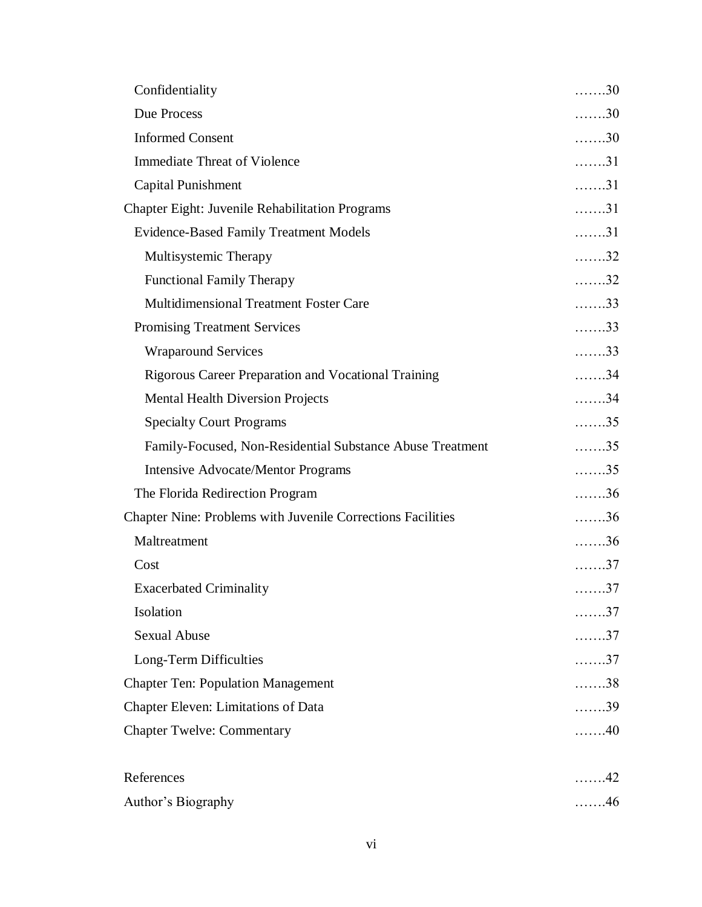| Confidentiality                                             | 30                 |
|-------------------------------------------------------------|--------------------|
| <b>Due Process</b>                                          | $\ldots \ldots 30$ |
| <b>Informed Consent</b>                                     | $\ldots \ldots 30$ |
| <b>Immediate Threat of Violence</b>                         | $\ldots$ 31        |
| <b>Capital Punishment</b>                                   | $\ldots \ldots 31$ |
| <b>Chapter Eight: Juvenile Rehabilitation Programs</b>      | $\ldots \ldots 31$ |
| <b>Evidence-Based Family Treatment Models</b>               | $\ldots \ldots 31$ |
| Multisystemic Therapy                                       | $\ldots \ldots 32$ |
| <b>Functional Family Therapy</b>                            | $\ldots \ldots 32$ |
| <b>Multidimensional Treatment Foster Care</b>               | $\ldots \ldots 33$ |
| <b>Promising Treatment Services</b>                         | $\ldots \ldots 33$ |
| <b>Wraparound Services</b>                                  | $\ldots \ldots 33$ |
| <b>Rigorous Career Preparation and Vocational Training</b>  | $\ldots \ldots 34$ |
| <b>Mental Health Diversion Projects</b>                     | $\ldots \ldots 34$ |
| <b>Specialty Court Programs</b>                             | $\ldots \ldots 35$ |
| Family-Focused, Non-Residential Substance Abuse Treatment   | $\ldots \ldots 35$ |
| <b>Intensive Advocate/Mentor Programs</b>                   | $\ldots \ldots 35$ |
| The Florida Redirection Program                             | $\ldots \ldots 36$ |
| Chapter Nine: Problems with Juvenile Corrections Facilities | $\ldots \ldots 36$ |
| Maltreatment                                                | $\ldots \ldots 36$ |
| Cost                                                        | . 37               |
| <b>Exacerbated Criminality</b>                              | $\ldots \ldots 37$ |
| Isolation                                                   | . 37               |
| <b>Sexual Abuse</b>                                         | . 37               |
| Long-Term Difficulties                                      | . 37               |
| <b>Chapter Ten: Population Management</b>                   | $\ldots \ldots 38$ |
| Chapter Eleven: Limitations of Data                         | $\ldots \ldots 39$ |
| <b>Chapter Twelve: Commentary</b>                           | 40                 |
| References                                                  | 42                 |
| Author's Biography                                          | . 46               |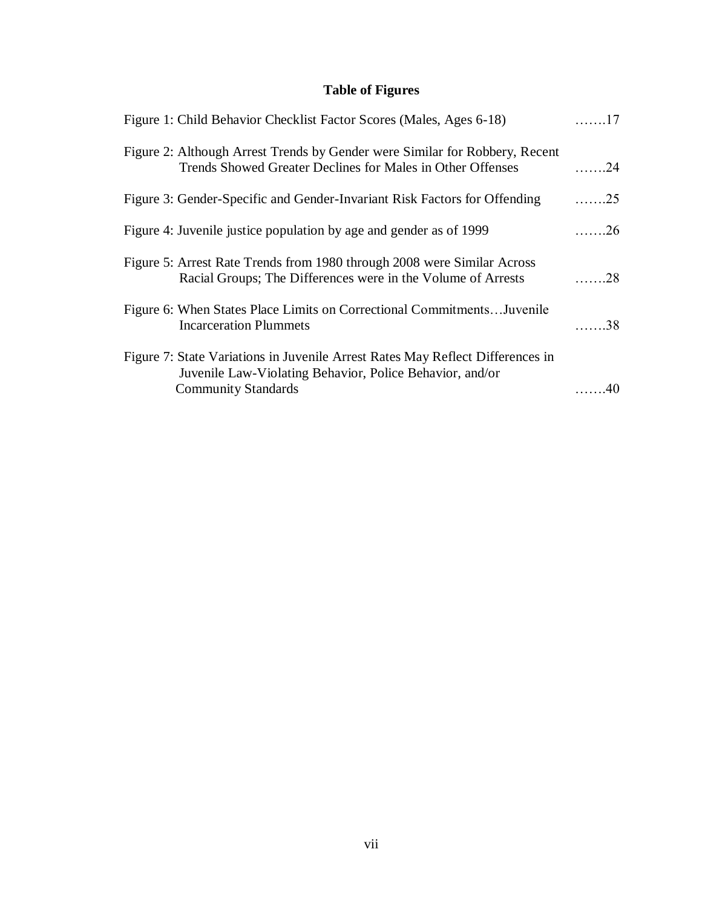# **Table of Figures**

| Figure 1: Child Behavior Checklist Factor Scores (Males, Ages 6-18)                                                                                                      | . 17               |
|--------------------------------------------------------------------------------------------------------------------------------------------------------------------------|--------------------|
| Figure 2: Although Arrest Trends by Gender were Similar for Robbery, Recent<br>Trends Showed Greater Declines for Males in Other Offenses                                | . 24               |
| Figure 3: Gender-Specific and Gender-Invariant Risk Factors for Offending                                                                                                | $\ldots \ldots 25$ |
| Figure 4: Juvenile justice population by age and gender as of 1999                                                                                                       | $\ldots \ldots 26$ |
| Figure 5: Arrest Rate Trends from 1980 through 2008 were Similar Across<br>Racial Groups; The Differences were in the Volume of Arrests                                  | . 28               |
| Figure 6: When States Place Limits on Correctional Commitments Juvenile<br><b>Incarceration Plummets</b>                                                                 | 38                 |
| Figure 7: State Variations in Juvenile Arrest Rates May Reflect Differences in<br>Juvenile Law-Violating Behavior, Police Behavior, and/or<br><b>Community Standards</b> | 40                 |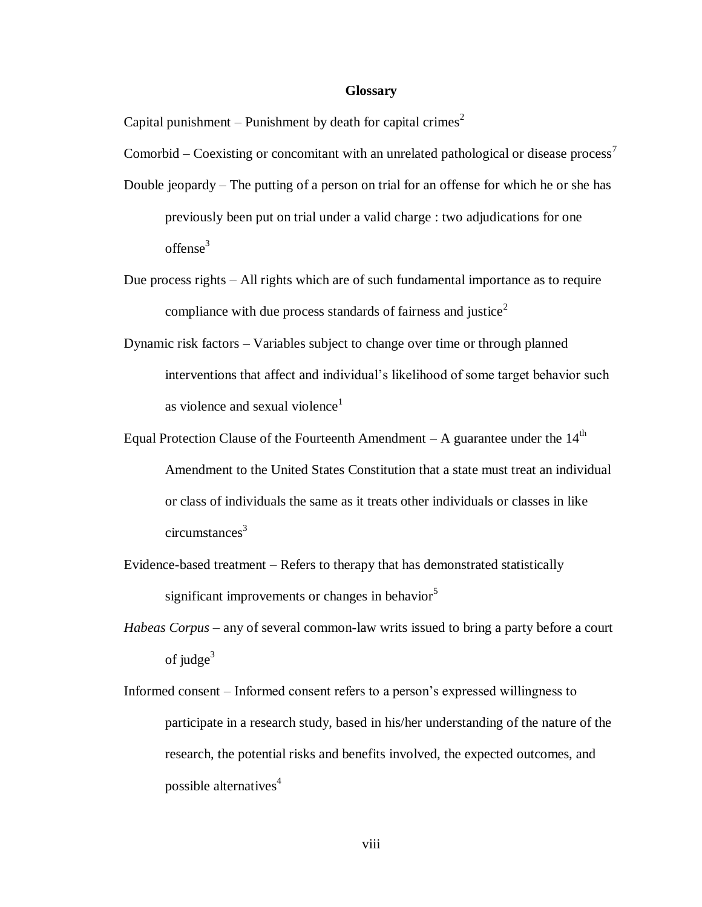#### **Glossary**

Capital punishment – Punishment by death for capital crimes<sup>2</sup>

Comorbid – Coexisting or concomitant with an unrelated pathological or disease process<sup>7</sup>

- Double jeopardy The putting of a person on trial for an offense for which he or she has previously been put on trial under a valid charge : two adjudications for one offense<sup>3</sup>
- Due process rights All rights which are of such fundamental importance as to require compliance with due process standards of fairness and justice<sup>2</sup>
- Dynamic risk factors Variables subject to change over time or through planned interventions that affect and individual's likelihood of some target behavior such as violence and sexual violence<sup>1</sup>
- Equal Protection Clause of the Fourteenth Amendment A guarantee under the  $14<sup>th</sup>$ Amendment to the United States Constitution that a state must treat an individual or class of individuals the same as it treats other individuals or classes in like  $circumstances<sup>3</sup>$
- Evidence-based treatment Refers to therapy that has demonstrated statistically significant improvements or changes in behavior $5$
- *Habeas Corpus* any of several common-law writs issued to bring a party before a court of judge $3$
- Informed consent Informed consent refers to a person's expressed willingness to participate in a research study, based in his/her understanding of the nature of the research, the potential risks and benefits involved, the expected outcomes, and possible alternatives $4$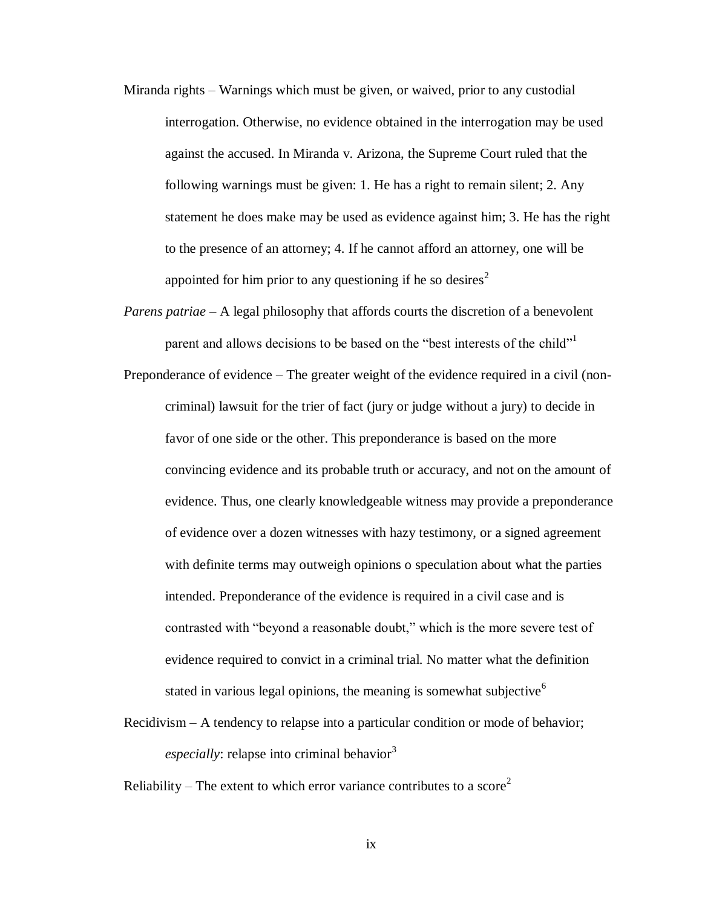- Miranda rights Warnings which must be given, or waived, prior to any custodial interrogation. Otherwise, no evidence obtained in the interrogation may be used against the accused. In Miranda v. Arizona, the Supreme Court ruled that the following warnings must be given: 1. He has a right to remain silent; 2. Any statement he does make may be used as evidence against him; 3. He has the right to the presence of an attorney; 4. If he cannot afford an attorney, one will be appointed for him prior to any questioning if he so desires<sup>2</sup>
- *Parens patriae* A legal philosophy that affords courts the discretion of a benevolent parent and allows decisions to be based on the "best interests of the child"<sup>1</sup>
- Preponderance of evidence The greater weight of the evidence required in a civil (noncriminal) lawsuit for the trier of fact (jury or judge without a jury) to decide in favor of one side or the other. This preponderance is based on the more convincing evidence and its probable truth or accuracy, and not on the amount of evidence. Thus, one clearly knowledgeable witness may provide a preponderance of evidence over a dozen witnesses with hazy testimony, or a signed agreement with definite terms may outweigh opinions o speculation about what the parties intended. Preponderance of the evidence is required in a civil case and is contrasted with "beyond a reasonable doubt," which is the more severe test of evidence required to convict in a criminal trial. No matter what the definition stated in various legal opinions, the meaning is somewhat subjective  $6\overline{6}$
- Recidivism A tendency to relapse into a particular condition or mode of behavior; *especially*: relapse into criminal behavior<sup>3</sup>

Reliability – The extent to which error variance contributes to a score<sup>2</sup>

ix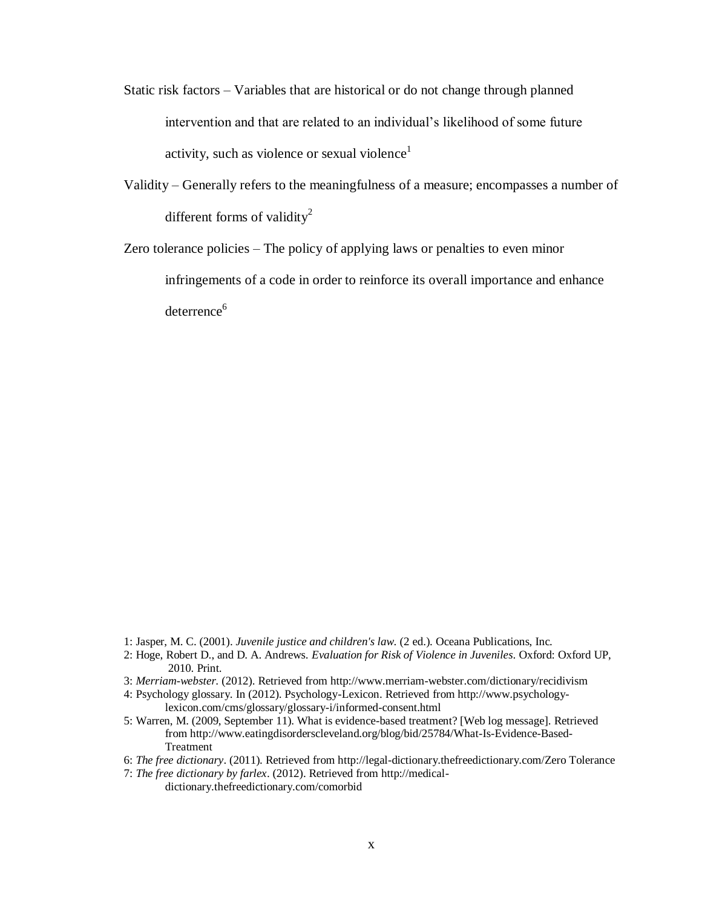- Static risk factors Variables that are historical or do not change through planned intervention and that are related to an individual's likelihood of some future activity, such as violence or sexual violence<sup>1</sup>
- Validity Generally refers to the meaningfulness of a measure; encompasses a number of different forms of validity<sup>2</sup>
- Zero tolerance policies The policy of applying laws or penalties to even minor infringements of a code in order to reinforce its overall importance and enhance deterrence<sup>6</sup>

- 1: Jasper, M. C. (2001). *Juvenile justice and children's law*. (2 ed.). Oceana Publications, Inc.
- 2: Hoge, Robert D., and D. A. Andrews. *Evaluation for Risk of Violence in Juveniles*. Oxford: Oxford UP, 2010. Print.
- 3: *Merriam-webster.* (2012). Retrieved from http://www.merriam-webster.com/dictionary/recidivism
- 4: Psychology glossary. In (2012). Psychology-Lexicon. Retrieved from http://www.psychologylexicon.com/cms/glossary/glossary-i/informed-consent.html
- 5: Warren, M. (2009, September 11). What is evidence-based treatment? [Web log message]. Retrieved from http://www.eatingdisorderscleveland.org/blog/bid/25784/What-Is-Evidence-Based-Treatment
- 6: *The free dictionary*. (2011). Retrieved from http://legal-dictionary.thefreedictionary.com/Zero Tolerance
- 7: *The free dictionary by farlex*. (2012). Retrieved from http://medicaldictionary.thefreedictionary.com/comorbid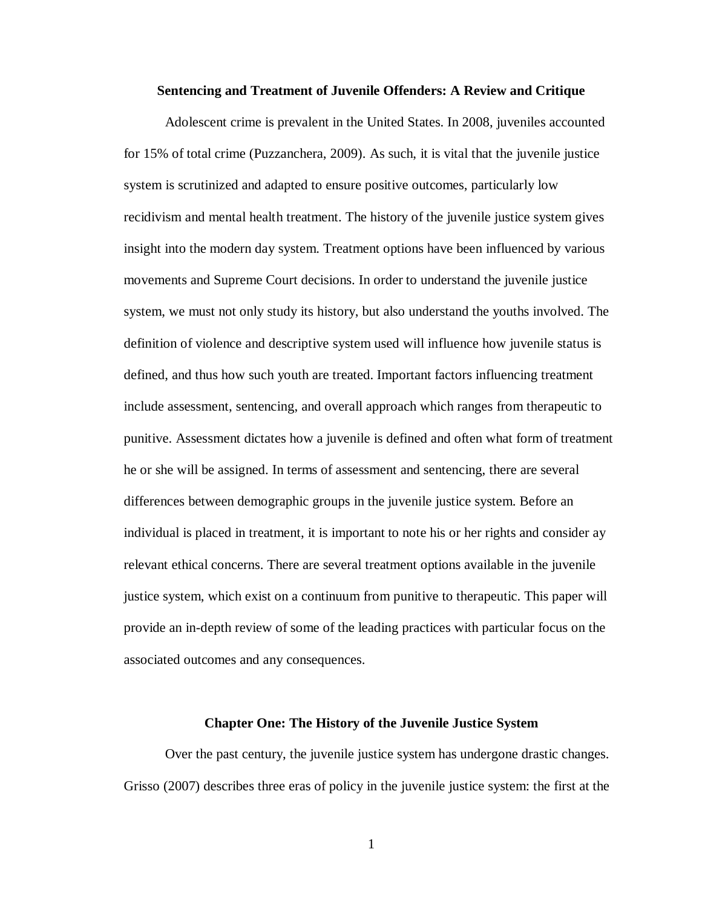#### **Sentencing and Treatment of Juvenile Offenders: A Review and Critique**

Adolescent crime is prevalent in the United States. In 2008, juveniles accounted for 15% of total crime (Puzzanchera, 2009). As such, it is vital that the juvenile justice system is scrutinized and adapted to ensure positive outcomes, particularly low recidivism and mental health treatment. The history of the juvenile justice system gives insight into the modern day system. Treatment options have been influenced by various movements and Supreme Court decisions. In order to understand the juvenile justice system, we must not only study its history, but also understand the youths involved. The definition of violence and descriptive system used will influence how juvenile status is defined, and thus how such youth are treated. Important factors influencing treatment include assessment, sentencing, and overall approach which ranges from therapeutic to punitive. Assessment dictates how a juvenile is defined and often what form of treatment he or she will be assigned. In terms of assessment and sentencing, there are several differences between demographic groups in the juvenile justice system. Before an individual is placed in treatment, it is important to note his or her rights and consider ay relevant ethical concerns. There are several treatment options available in the juvenile justice system, which exist on a continuum from punitive to therapeutic. This paper will provide an in-depth review of some of the leading practices with particular focus on the associated outcomes and any consequences.

#### **Chapter One: The History of the Juvenile Justice System**

Over the past century, the juvenile justice system has undergone drastic changes. Grisso (2007) describes three eras of policy in the juvenile justice system: the first at the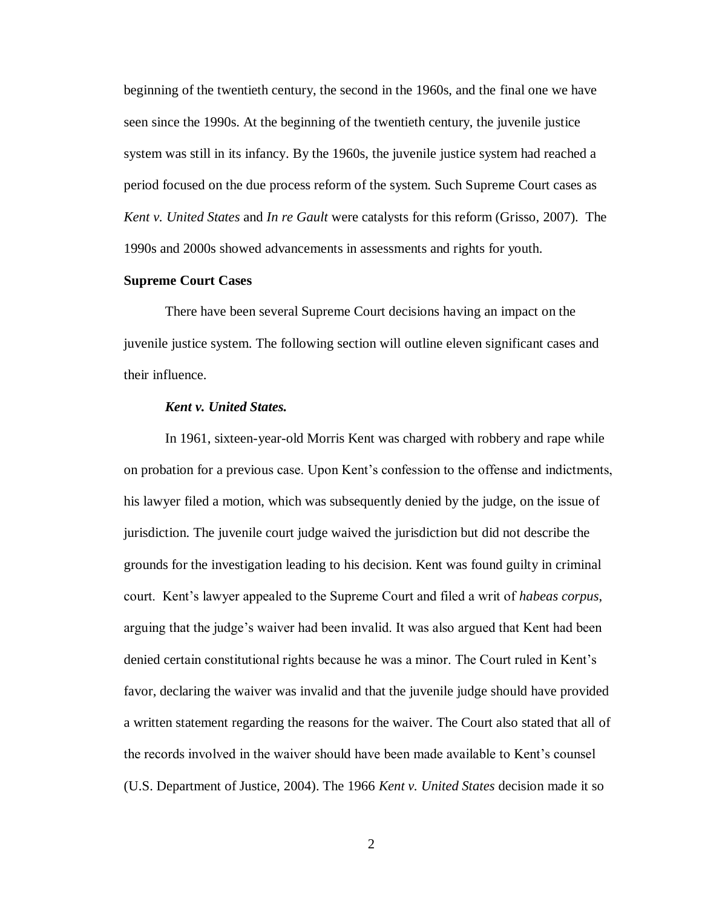beginning of the twentieth century, the second in the 1960s, and the final one we have seen since the 1990s. At the beginning of the twentieth century, the juvenile justice system was still in its infancy. By the 1960s, the juvenile justice system had reached a period focused on the due process reform of the system. Such Supreme Court cases as *Kent v. United States* and *In re Gault* were catalysts for this reform (Grisso, 2007). The 1990s and 2000s showed advancements in assessments and rights for youth.

#### **Supreme Court Cases**

There have been several Supreme Court decisions having an impact on the juvenile justice system. The following section will outline eleven significant cases and their influence.

# *Kent v. United States.*

In 1961, sixteen-year-old Morris Kent was charged with robbery and rape while on probation for a previous case. Upon Kent's confession to the offense and indictments, his lawyer filed a motion, which was subsequently denied by the judge, on the issue of jurisdiction. The juvenile court judge waived the jurisdiction but did not describe the grounds for the investigation leading to his decision. Kent was found guilty in criminal court. Kent's lawyer appealed to the Supreme Court and filed a writ of *habeas corpus*, arguing that the judge's waiver had been invalid. It was also argued that Kent had been denied certain constitutional rights because he was a minor. The Court ruled in Kent's favor, declaring the waiver was invalid and that the juvenile judge should have provided a written statement regarding the reasons for the waiver. The Court also stated that all of the records involved in the waiver should have been made available to Kent's counsel (U.S. Department of Justice, 2004). The 1966 *Kent v. United States* decision made it so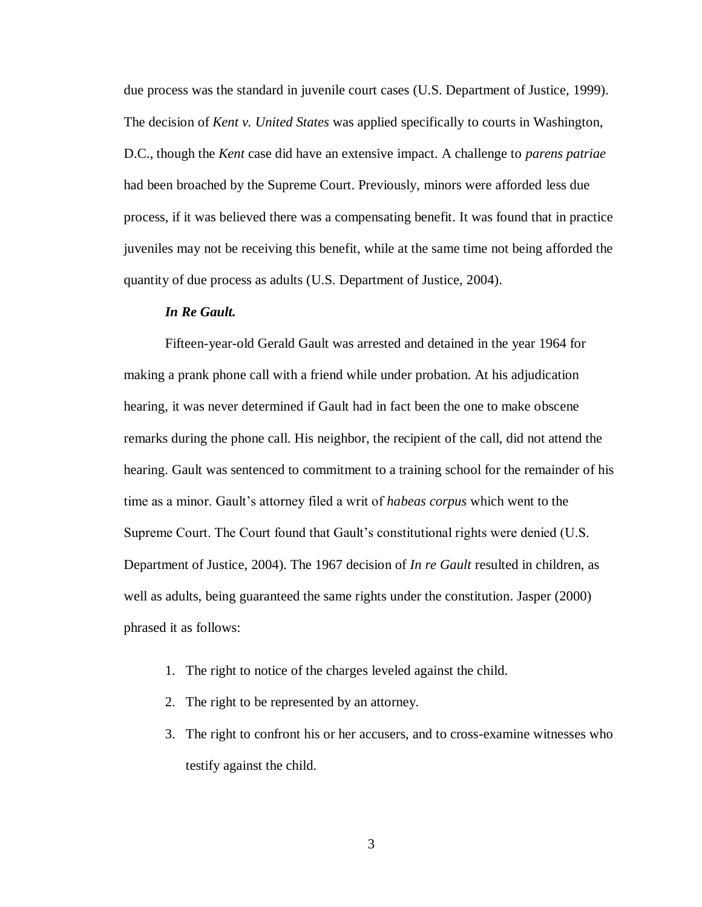due process was the standard in juvenile court cases (U.S. Department of Justice, 1999). The decision of *Kent v. United States* was applied specifically to courts in Washington, D.C., though the *Kent* case did have an extensive impact. A challenge to *parens patriae* had been broached by the Supreme Court. Previously, minors were afforded less due process, if it was believed there was a compensating benefit. It was found that in practice juveniles may not be receiving this benefit, while at the same time not being afforded the quantity of due process as adults (U.S. Department of Justice, 2004).

# *In Re Gault.*

Fifteen-year-old Gerald Gault was arrested and detained in the year 1964 for making a prank phone call with a friend while under probation. At his adjudication hearing, it was never determined if Gault had in fact been the one to make obscene remarks during the phone call. His neighbor, the recipient of the call, did not attend the hearing. Gault was sentenced to commitment to a training school for the remainder of his time as a minor. Gault's attorney filed a writ of *habeas corpus* which went to the Supreme Court. The Court found that Gault's constitutional rights were denied (U.S. Department of Justice, 2004). The 1967 decision of *In re Gault* resulted in children, as well as adults, being guaranteed the same rights under the constitution. Jasper (2000) phrased it as follows:

- 1. The right to notice of the charges leveled against the child.
- 2. The right to be represented by an attorney.
- 3. The right to confront his or her accusers, and to cross-examine witnesses who testify against the child.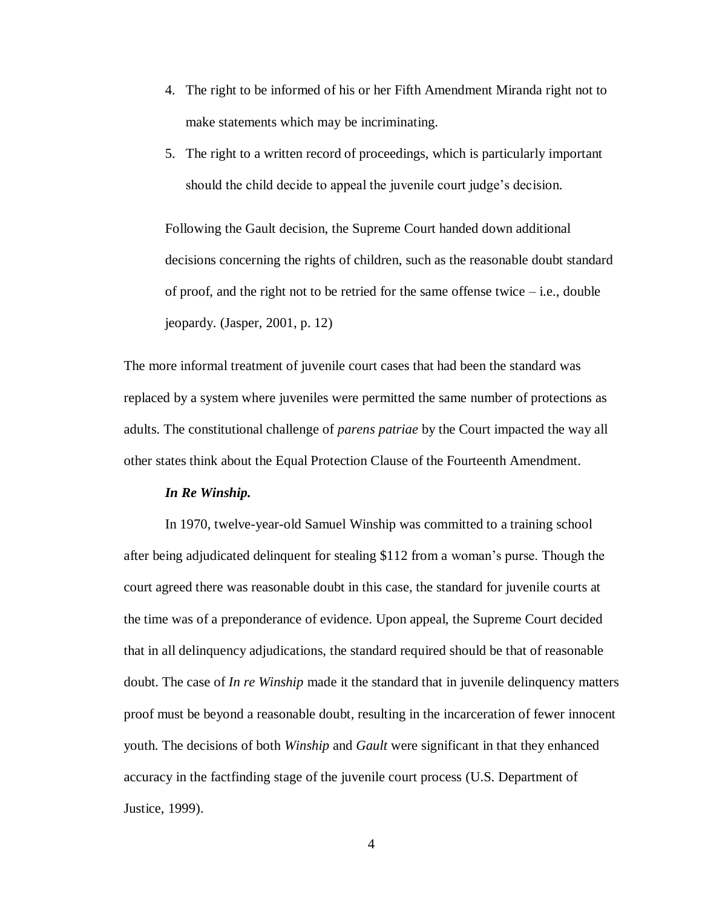- 4. The right to be informed of his or her Fifth Amendment Miranda right not to make statements which may be incriminating.
- 5. The right to a written record of proceedings, which is particularly important should the child decide to appeal the juvenile court judge's decision.

Following the Gault decision, the Supreme Court handed down additional decisions concerning the rights of children, such as the reasonable doubt standard of proof, and the right not to be retried for the same offense twice  $-$  i.e., double jeopardy. (Jasper, 2001, p. 12)

The more informal treatment of juvenile court cases that had been the standard was replaced by a system where juveniles were permitted the same number of protections as adults. The constitutional challenge of *parens patriae* by the Court impacted the way all other states think about the Equal Protection Clause of the Fourteenth Amendment.

# *In Re Winship.*

In 1970, twelve-year-old Samuel Winship was committed to a training school after being adjudicated delinquent for stealing \$112 from a woman's purse. Though the court agreed there was reasonable doubt in this case, the standard for juvenile courts at the time was of a preponderance of evidence. Upon appeal, the Supreme Court decided that in all delinquency adjudications, the standard required should be that of reasonable doubt. The case of *In re Winship* made it the standard that in juvenile delinquency matters proof must be beyond a reasonable doubt, resulting in the incarceration of fewer innocent youth. The decisions of both *Winship* and *Gault* were significant in that they enhanced accuracy in the factfinding stage of the juvenile court process (U.S. Department of Justice, 1999).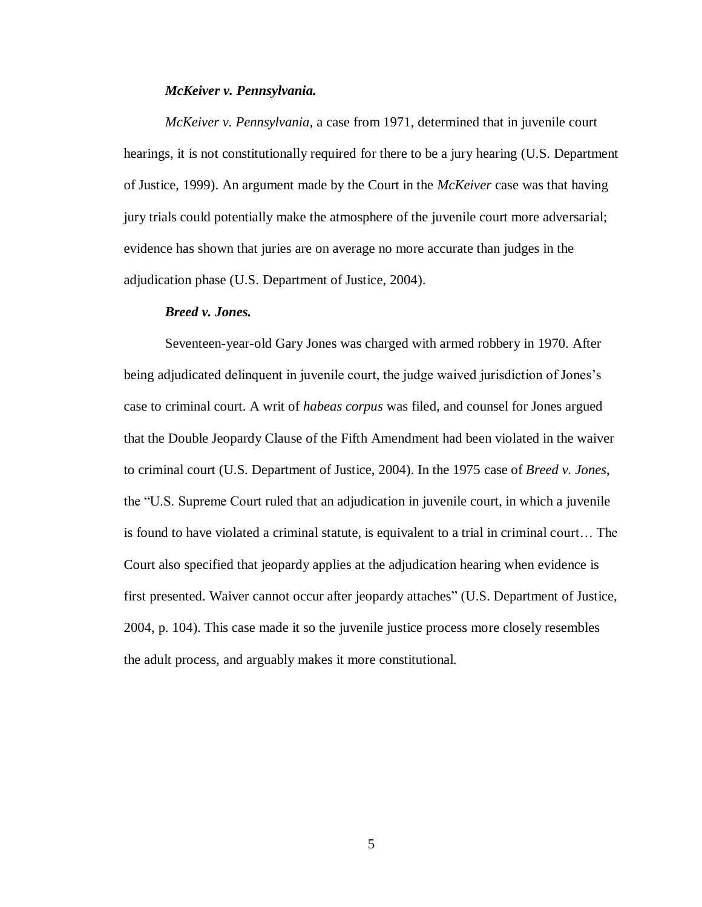# *McKeiver v. Pennsylvania.*

*McKeiver v. Pennsylvania*, a case from 1971, determined that in juvenile court hearings, it is not constitutionally required for there to be a jury hearing (U.S. Department of Justice, 1999). An argument made by the Court in the *McKeiver* case was that having jury trials could potentially make the atmosphere of the juvenile court more adversarial; evidence has shown that juries are on average no more accurate than judges in the adjudication phase (U.S. Department of Justice, 2004).

#### *Breed v. Jones.*

Seventeen-year-old Gary Jones was charged with armed robbery in 1970. After being adjudicated delinquent in juvenile court, the judge waived jurisdiction of Jones's case to criminal court. A writ of *habeas corpus* was filed, and counsel for Jones argued that the Double Jeopardy Clause of the Fifth Amendment had been violated in the waiver to criminal court (U.S. Department of Justice, 2004). In the 1975 case of *Breed v. Jones*, the "U.S. Supreme Court ruled that an adjudication in juvenile court, in which a juvenile is found to have violated a criminal statute, is equivalent to a trial in criminal court… The Court also specified that jeopardy applies at the adjudication hearing when evidence is first presented. Waiver cannot occur after jeopardy attaches" (U.S. Department of Justice, 2004, p. 104). This case made it so the juvenile justice process more closely resembles the adult process, and arguably makes it more constitutional.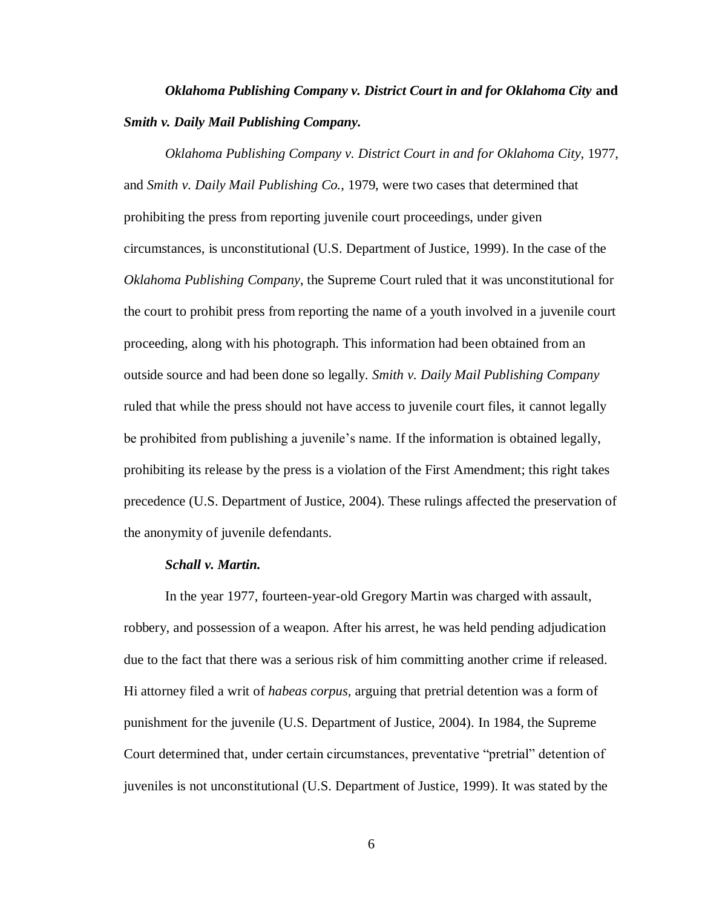# *Oklahoma Publishing Company v. District Court in and for Oklahoma City* **and**  *Smith v. Daily Mail Publishing Company.*

*Oklahoma Publishing Company v. District Court in and for Oklahoma City*, 1977, and *Smith v. Daily Mail Publishing Co.*, 1979, were two cases that determined that prohibiting the press from reporting juvenile court proceedings, under given circumstances, is unconstitutional (U.S. Department of Justice, 1999). In the case of the *Oklahoma Publishing Company*, the Supreme Court ruled that it was unconstitutional for the court to prohibit press from reporting the name of a youth involved in a juvenile court proceeding, along with his photograph. This information had been obtained from an outside source and had been done so legally. *Smith v. Daily Mail Publishing Company* ruled that while the press should not have access to juvenile court files, it cannot legally be prohibited from publishing a juvenile's name. If the information is obtained legally, prohibiting its release by the press is a violation of the First Amendment; this right takes precedence (U.S. Department of Justice, 2004). These rulings affected the preservation of the anonymity of juvenile defendants.

# *Schall v. Martin.*

In the year 1977, fourteen-year-old Gregory Martin was charged with assault, robbery, and possession of a weapon. After his arrest, he was held pending adjudication due to the fact that there was a serious risk of him committing another crime if released. Hi attorney filed a writ of *habeas corpus*, arguing that pretrial detention was a form of punishment for the juvenile (U.S. Department of Justice, 2004). In 1984, the Supreme Court determined that, under certain circumstances, preventative "pretrial" detention of juveniles is not unconstitutional (U.S. Department of Justice, 1999). It was stated by the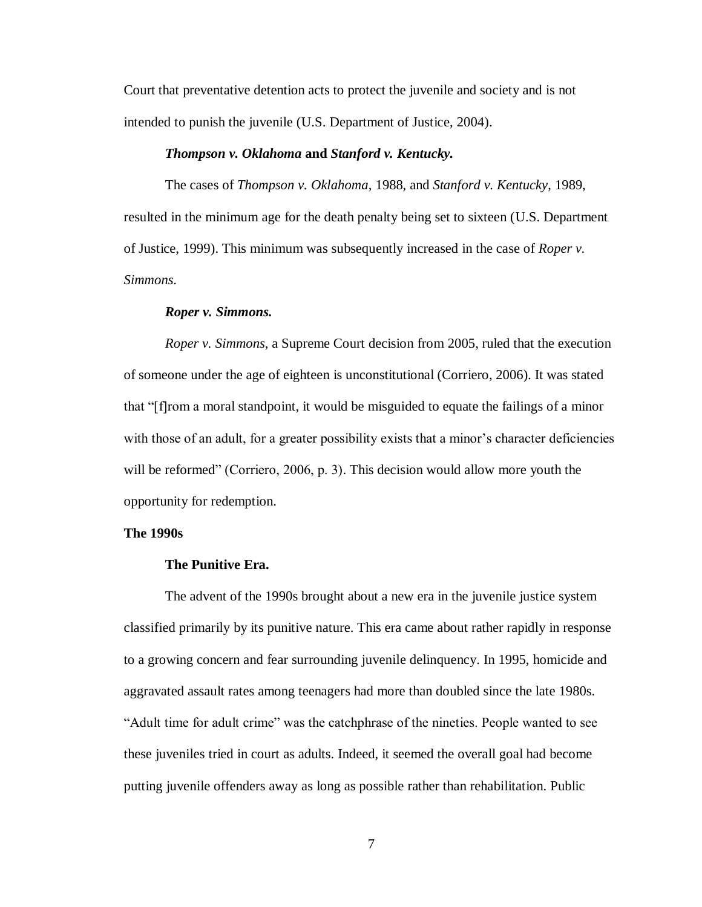Court that preventative detention acts to protect the juvenile and society and is not intended to punish the juvenile (U.S. Department of Justice, 2004).

### *Thompson v. Oklahoma* **and** *Stanford v. Kentucky.*

The cases of *Thompson v. Oklahoma*, 1988, and *Stanford v. Kentucky*, 1989, resulted in the minimum age for the death penalty being set to sixteen (U.S. Department of Justice, 1999). This minimum was subsequently increased in the case of *Roper v. Simmons*.

#### *Roper v. Simmons.*

*Roper v. Simmons*, a Supreme Court decision from 2005, ruled that the execution of someone under the age of eighteen is unconstitutional (Corriero, 2006). It was stated that "[f]rom a moral standpoint, it would be misguided to equate the failings of a minor with those of an adult, for a greater possibility exists that a minor's character deficiencies will be reformed" (Corriero, 2006, p. 3). This decision would allow more youth the opportunity for redemption.

#### **The 1990s**

#### **The Punitive Era.**

The advent of the 1990s brought about a new era in the juvenile justice system classified primarily by its punitive nature. This era came about rather rapidly in response to a growing concern and fear surrounding juvenile delinquency. In 1995, homicide and aggravated assault rates among teenagers had more than doubled since the late 1980s. "Adult time for adult crime" was the catchphrase of the nineties. People wanted to see these juveniles tried in court as adults. Indeed, it seemed the overall goal had become putting juvenile offenders away as long as possible rather than rehabilitation. Public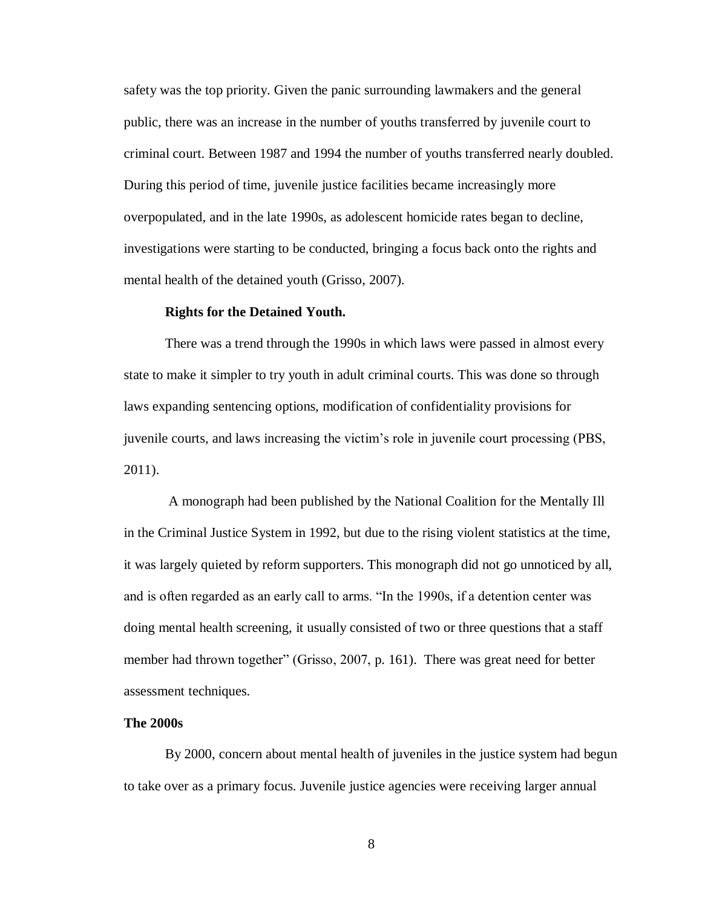safety was the top priority. Given the panic surrounding lawmakers and the general public, there was an increase in the number of youths transferred by juvenile court to criminal court. Between 1987 and 1994 the number of youths transferred nearly doubled. During this period of time, juvenile justice facilities became increasingly more overpopulated, and in the late 1990s, as adolescent homicide rates began to decline, investigations were starting to be conducted, bringing a focus back onto the rights and mental health of the detained youth (Grisso, 2007).

#### **Rights for the Detained Youth.**

There was a trend through the 1990s in which laws were passed in almost every state to make it simpler to try youth in adult criminal courts. This was done so through laws expanding sentencing options, modification of confidentiality provisions for juvenile courts, and laws increasing the victim's role in juvenile court processing (PBS, 2011).

A monograph had been published by the National Coalition for the Mentally Ill in the Criminal Justice System in 1992, but due to the rising violent statistics at the time, it was largely quieted by reform supporters. This monograph did not go unnoticed by all, and is often regarded as an early call to arms. "In the 1990s, if a detention center was doing mental health screening, it usually consisted of two or three questions that a staff member had thrown together" (Grisso, 2007, p. 161). There was great need for better assessment techniques.

#### **The 2000s**

By 2000, concern about mental health of juveniles in the justice system had begun to take over as a primary focus. Juvenile justice agencies were receiving larger annual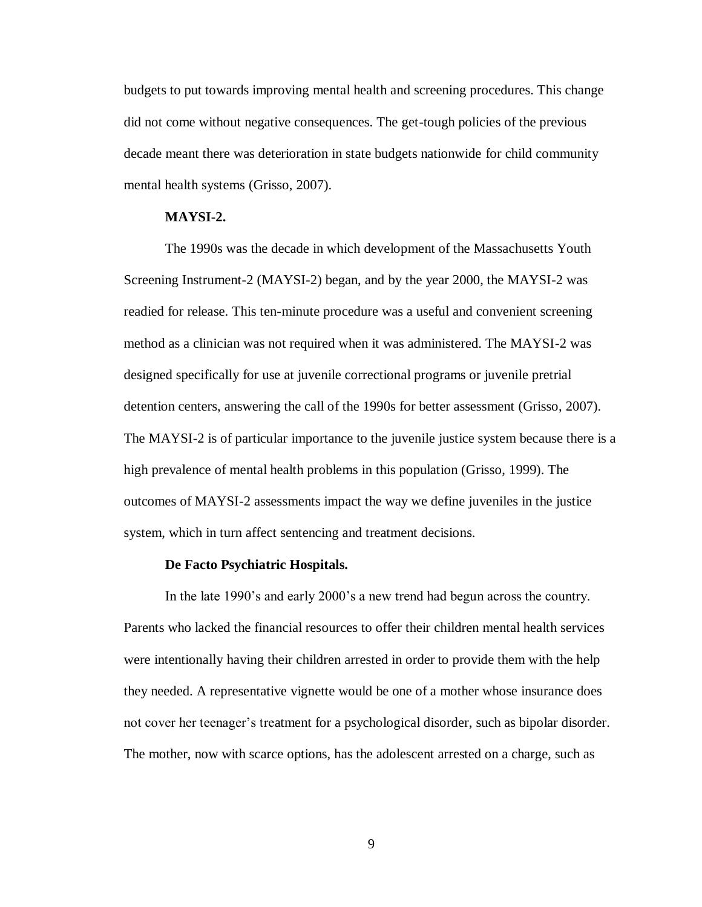budgets to put towards improving mental health and screening procedures. This change did not come without negative consequences. The get-tough policies of the previous decade meant there was deterioration in state budgets nationwide for child community mental health systems (Grisso, 2007).

# **MAYSI-2.**

The 1990s was the decade in which development of the Massachusetts Youth Screening Instrument-2 (MAYSI-2) began, and by the year 2000, the MAYSI-2 was readied for release. This ten-minute procedure was a useful and convenient screening method as a clinician was not required when it was administered. The MAYSI-2 was designed specifically for use at juvenile correctional programs or juvenile pretrial detention centers, answering the call of the 1990s for better assessment (Grisso, 2007). The MAYSI-2 is of particular importance to the juvenile justice system because there is a high prevalence of mental health problems in this population (Grisso, 1999). The outcomes of MAYSI-2 assessments impact the way we define juveniles in the justice system, which in turn affect sentencing and treatment decisions.

#### **De Facto Psychiatric Hospitals.**

In the late 1990's and early 2000's a new trend had begun across the country. Parents who lacked the financial resources to offer their children mental health services were intentionally having their children arrested in order to provide them with the help they needed. A representative vignette would be one of a mother whose insurance does not cover her teenager's treatment for a psychological disorder, such as bipolar disorder. The mother, now with scarce options, has the adolescent arrested on a charge, such as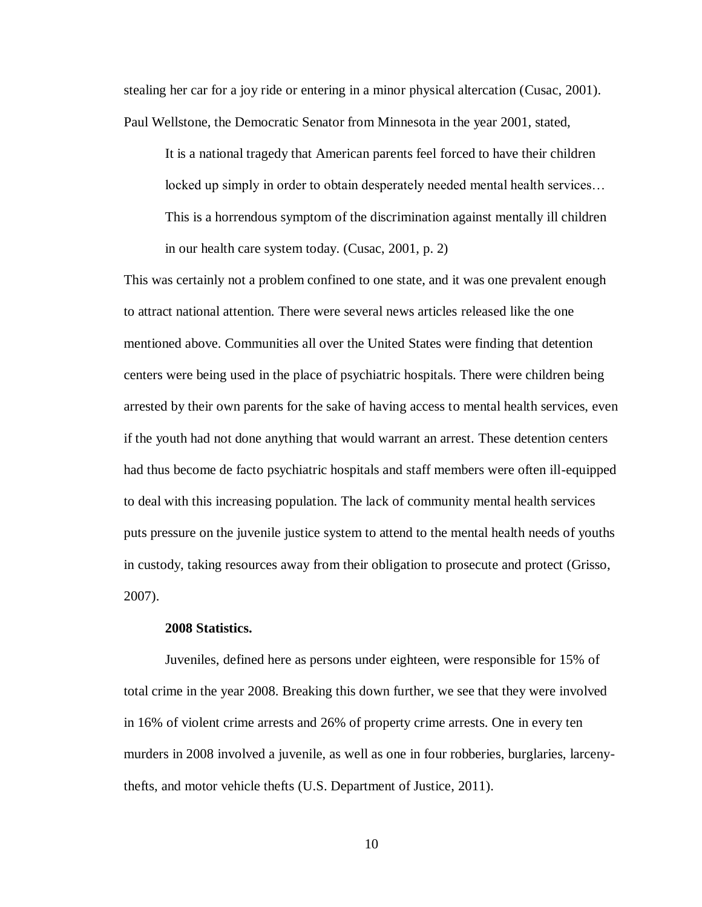stealing her car for a joy ride or entering in a minor physical altercation (Cusac, 2001). Paul Wellstone, the Democratic Senator from Minnesota in the year 2001, stated,

It is a national tragedy that American parents feel forced to have their children locked up simply in order to obtain desperately needed mental health services… This is a horrendous symptom of the discrimination against mentally ill children in our health care system today. (Cusac, 2001, p. 2)

This was certainly not a problem confined to one state, and it was one prevalent enough to attract national attention. There were several news articles released like the one mentioned above. Communities all over the United States were finding that detention centers were being used in the place of psychiatric hospitals. There were children being arrested by their own parents for the sake of having access to mental health services, even if the youth had not done anything that would warrant an arrest. These detention centers had thus become de facto psychiatric hospitals and staff members were often ill-equipped to deal with this increasing population. The lack of community mental health services puts pressure on the juvenile justice system to attend to the mental health needs of youths in custody, taking resources away from their obligation to prosecute and protect (Grisso, 2007).

#### **2008 Statistics.**

Juveniles, defined here as persons under eighteen, were responsible for 15% of total crime in the year 2008. Breaking this down further, we see that they were involved in 16% of violent crime arrests and 26% of property crime arrests. One in every ten murders in 2008 involved a juvenile, as well as one in four robberies, burglaries, larcenythefts, and motor vehicle thefts (U.S. Department of Justice, 2011).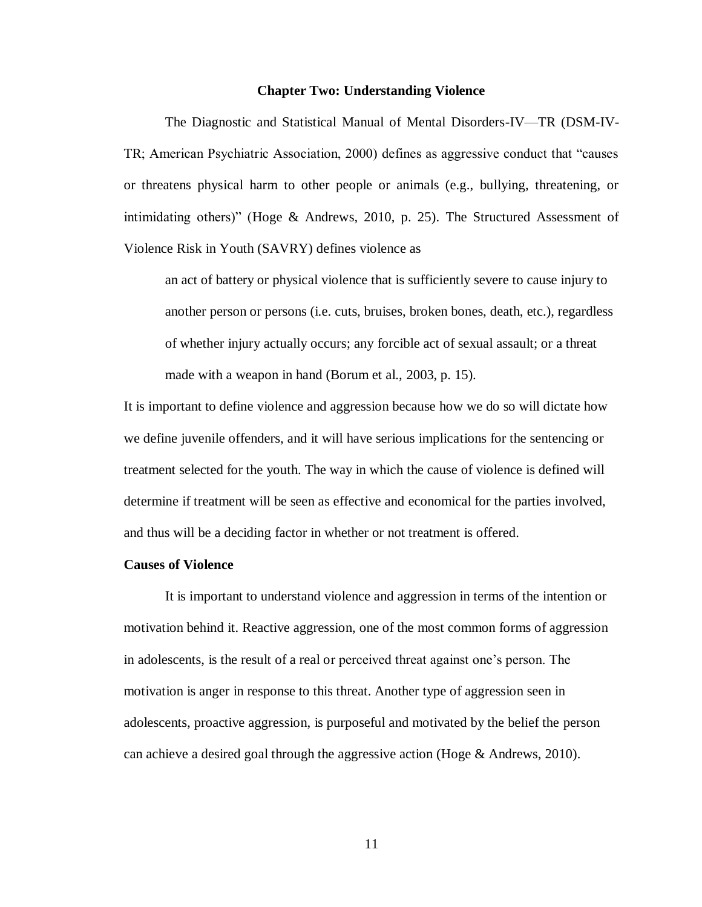#### **Chapter Two: Understanding Violence**

The Diagnostic and Statistical Manual of Mental Disorders-IV—TR (DSM-IV-TR; American Psychiatric Association, 2000) defines as aggressive conduct that "causes or threatens physical harm to other people or animals (e.g., bullying, threatening, or intimidating others)" (Hoge & Andrews, 2010, p. 25). The Structured Assessment of Violence Risk in Youth (SAVRY) defines violence as

an act of battery or physical violence that is sufficiently severe to cause injury to another person or persons (i.e. cuts, bruises, broken bones, death, etc.), regardless of whether injury actually occurs; any forcible act of sexual assault; or a threat made with a weapon in hand (Borum et al., 2003, p. 15).

It is important to define violence and aggression because how we do so will dictate how we define juvenile offenders, and it will have serious implications for the sentencing or treatment selected for the youth. The way in which the cause of violence is defined will determine if treatment will be seen as effective and economical for the parties involved, and thus will be a deciding factor in whether or not treatment is offered.

#### **Causes of Violence**

It is important to understand violence and aggression in terms of the intention or motivation behind it. Reactive aggression, one of the most common forms of aggression in adolescents, is the result of a real or perceived threat against one's person. The motivation is anger in response to this threat. Another type of aggression seen in adolescents, proactive aggression, is purposeful and motivated by the belief the person can achieve a desired goal through the aggressive action (Hoge  $\&$  Andrews, 2010).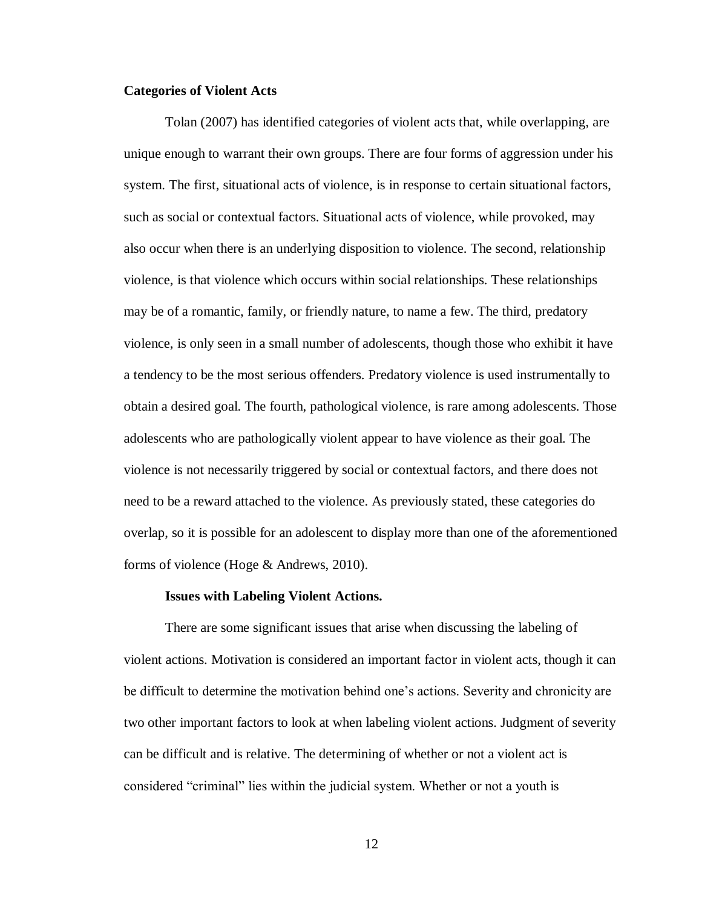#### **Categories of Violent Acts**

Tolan (2007) has identified categories of violent acts that, while overlapping, are unique enough to warrant their own groups. There are four forms of aggression under his system. The first, situational acts of violence, is in response to certain situational factors, such as social or contextual factors. Situational acts of violence, while provoked, may also occur when there is an underlying disposition to violence. The second, relationship violence, is that violence which occurs within social relationships. These relationships may be of a romantic, family, or friendly nature, to name a few. The third, predatory violence, is only seen in a small number of adolescents, though those who exhibit it have a tendency to be the most serious offenders. Predatory violence is used instrumentally to obtain a desired goal. The fourth, pathological violence, is rare among adolescents. Those adolescents who are pathologically violent appear to have violence as their goal. The violence is not necessarily triggered by social or contextual factors, and there does not need to be a reward attached to the violence. As previously stated, these categories do overlap, so it is possible for an adolescent to display more than one of the aforementioned forms of violence (Hoge & Andrews, 2010).

#### **Issues with Labeling Violent Actions.**

There are some significant issues that arise when discussing the labeling of violent actions. Motivation is considered an important factor in violent acts, though it can be difficult to determine the motivation behind one's actions. Severity and chronicity are two other important factors to look at when labeling violent actions. Judgment of severity can be difficult and is relative. The determining of whether or not a violent act is considered "criminal" lies within the judicial system. Whether or not a youth is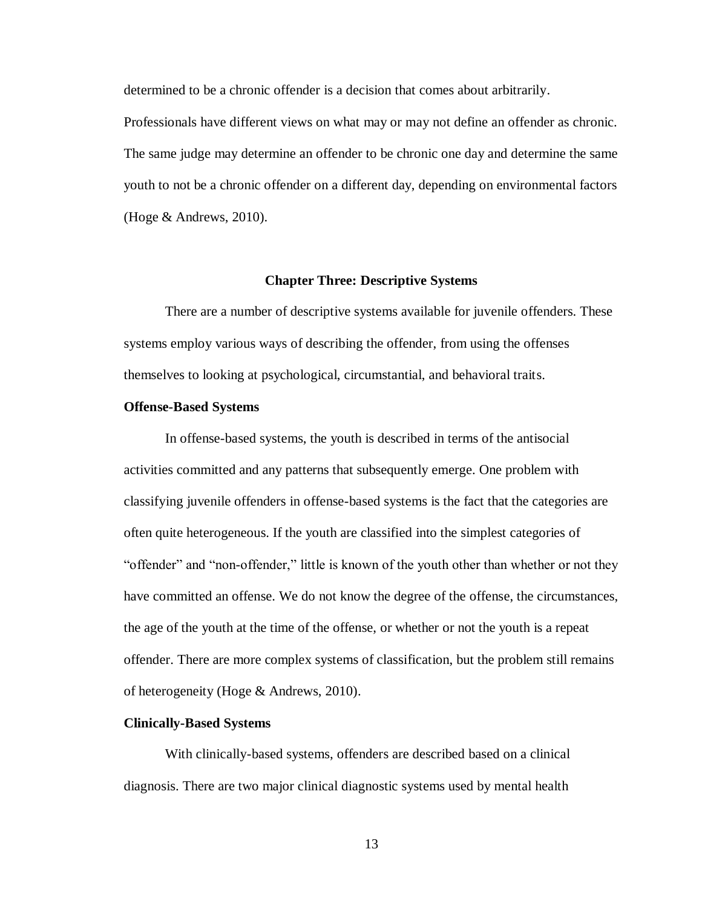determined to be a chronic offender is a decision that comes about arbitrarily.

Professionals have different views on what may or may not define an offender as chronic. The same judge may determine an offender to be chronic one day and determine the same youth to not be a chronic offender on a different day, depending on environmental factors (Hoge & Andrews, 2010).

# **Chapter Three: Descriptive Systems**

There are a number of descriptive systems available for juvenile offenders. These systems employ various ways of describing the offender, from using the offenses themselves to looking at psychological, circumstantial, and behavioral traits.

# **Offense-Based Systems**

In offense-based systems, the youth is described in terms of the antisocial activities committed and any patterns that subsequently emerge. One problem with classifying juvenile offenders in offense-based systems is the fact that the categories are often quite heterogeneous. If the youth are classified into the simplest categories of "offender" and "non-offender," little is known of the youth other than whether or not they have committed an offense. We do not know the degree of the offense, the circumstances, the age of the youth at the time of the offense, or whether or not the youth is a repeat offender. There are more complex systems of classification, but the problem still remains of heterogeneity (Hoge & Andrews, 2010).

#### **Clinically-Based Systems**

With clinically-based systems, offenders are described based on a clinical diagnosis. There are two major clinical diagnostic systems used by mental health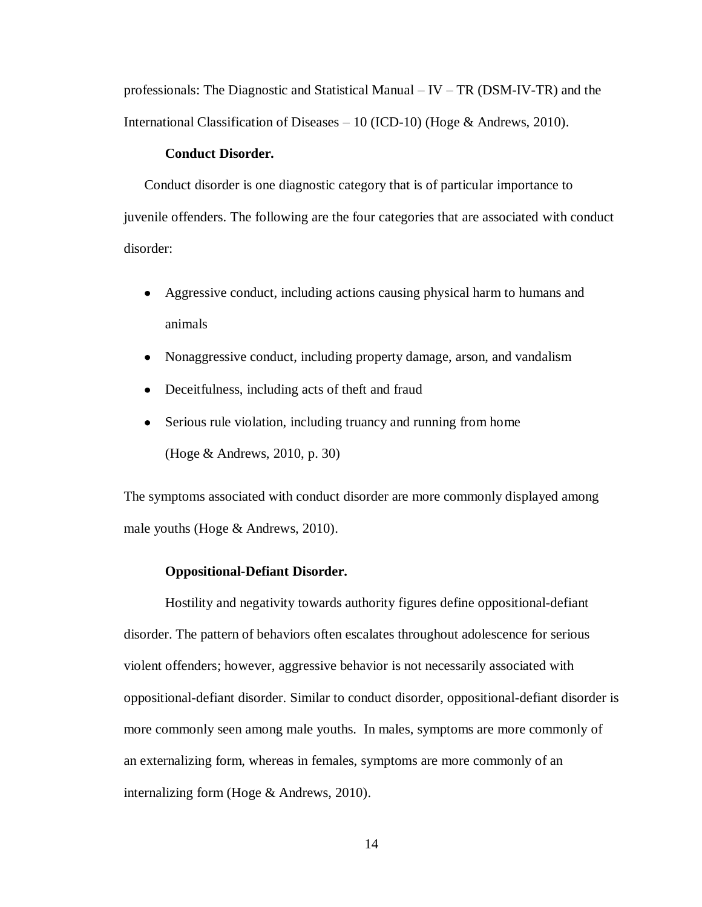professionals: The Diagnostic and Statistical Manual – IV – TR (DSM-IV-TR) and the International Classification of Diseases – 10 (ICD-10) (Hoge & Andrews, 2010).

# **Conduct Disorder.**

Conduct disorder is one diagnostic category that is of particular importance to juvenile offenders. The following are the four categories that are associated with conduct disorder:

- Aggressive conduct, including actions causing physical harm to humans and animals
- $\bullet$ Nonaggressive conduct, including property damage, arson, and vandalism
- Deceitfulness, including acts of theft and fraud  $\bullet$
- Serious rule violation, including truancy and running from home  $\bullet$ (Hoge & Andrews, 2010, p. 30)

The symptoms associated with conduct disorder are more commonly displayed among male youths (Hoge & Andrews, 2010).

# **Oppositional-Defiant Disorder.**

Hostility and negativity towards authority figures define oppositional-defiant disorder. The pattern of behaviors often escalates throughout adolescence for serious violent offenders; however, aggressive behavior is not necessarily associated with oppositional-defiant disorder. Similar to conduct disorder, oppositional-defiant disorder is more commonly seen among male youths. In males, symptoms are more commonly of an externalizing form, whereas in females, symptoms are more commonly of an internalizing form (Hoge & Andrews, 2010).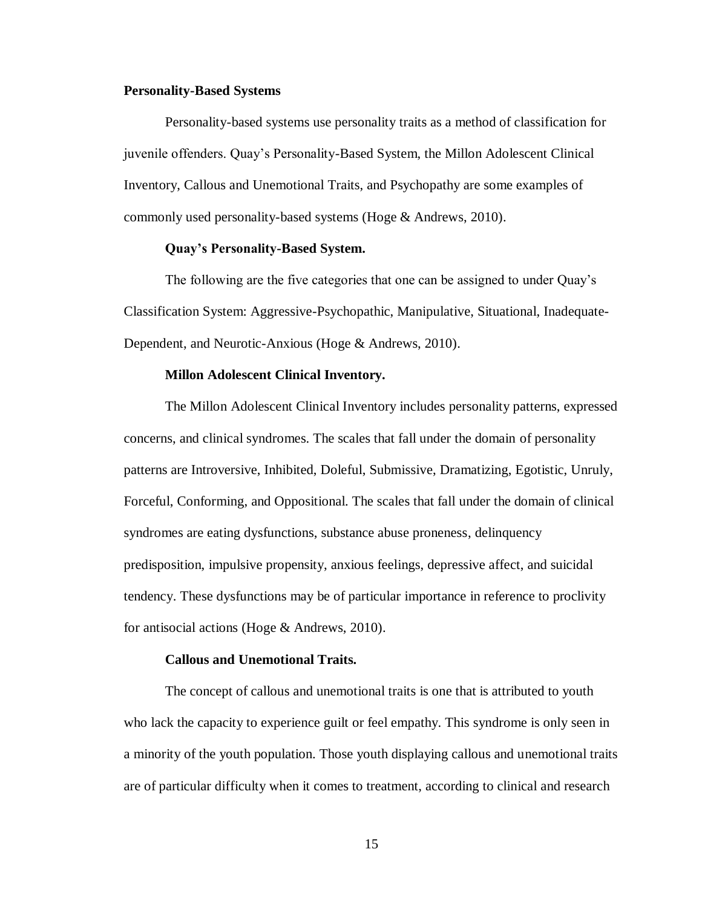#### **Personality-Based Systems**

Personality-based systems use personality traits as a method of classification for juvenile offenders. Quay's Personality-Based System, the Millon Adolescent Clinical Inventory, Callous and Unemotional Traits, and Psychopathy are some examples of commonly used personality-based systems (Hoge & Andrews, 2010).

# **Quay's Personality-Based System.**

The following are the five categories that one can be assigned to under Quay's Classification System: Aggressive-Psychopathic, Manipulative, Situational, Inadequate-Dependent, and Neurotic-Anxious (Hoge & Andrews, 2010).

#### **Millon Adolescent Clinical Inventory.**

The Millon Adolescent Clinical Inventory includes personality patterns, expressed concerns, and clinical syndromes. The scales that fall under the domain of personality patterns are Introversive, Inhibited, Doleful, Submissive, Dramatizing, Egotistic, Unruly, Forceful, Conforming, and Oppositional. The scales that fall under the domain of clinical syndromes are eating dysfunctions, substance abuse proneness, delinquency predisposition, impulsive propensity, anxious feelings, depressive affect, and suicidal tendency. These dysfunctions may be of particular importance in reference to proclivity for antisocial actions (Hoge & Andrews, 2010).

# **Callous and Unemotional Traits.**

The concept of callous and unemotional traits is one that is attributed to youth who lack the capacity to experience guilt or feel empathy. This syndrome is only seen in a minority of the youth population. Those youth displaying callous and unemotional traits are of particular difficulty when it comes to treatment, according to clinical and research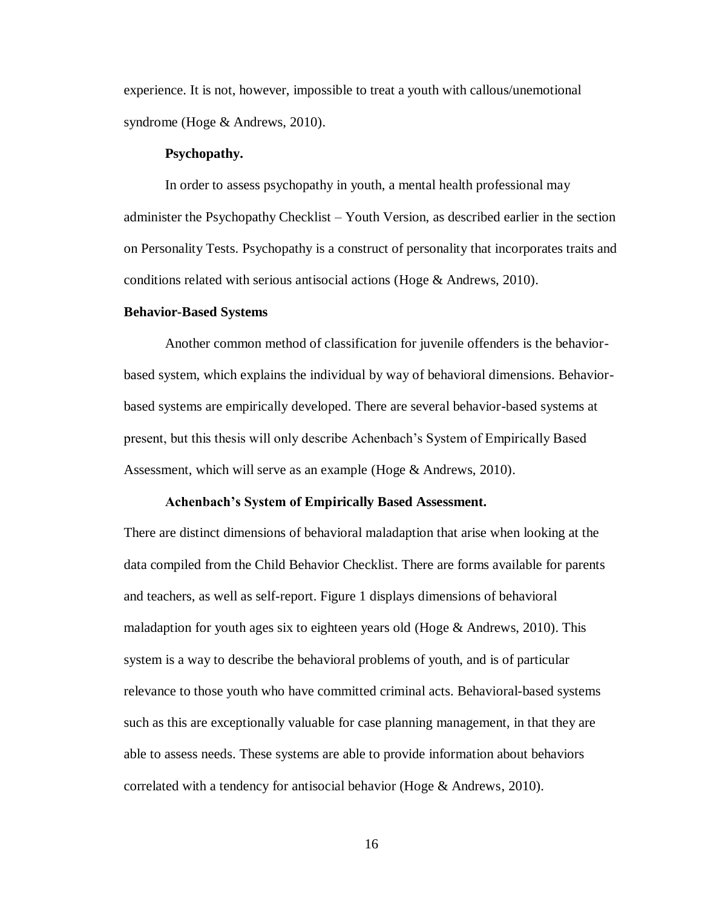experience. It is not, however, impossible to treat a youth with callous/unemotional syndrome (Hoge & Andrews, 2010).

#### **Psychopathy.**

In order to assess psychopathy in youth, a mental health professional may administer the Psychopathy Checklist – Youth Version, as described earlier in the section on Personality Tests. Psychopathy is a construct of personality that incorporates traits and conditions related with serious antisocial actions (Hoge & Andrews, 2010).

#### **Behavior-Based Systems**

Another common method of classification for juvenile offenders is the behaviorbased system, which explains the individual by way of behavioral dimensions. Behaviorbased systems are empirically developed. There are several behavior-based systems at present, but this thesis will only describe Achenbach's System of Empirically Based Assessment, which will serve as an example (Hoge & Andrews, 2010).

#### **Achenbach's System of Empirically Based Assessment.**

There are distinct dimensions of behavioral maladaption that arise when looking at the data compiled from the Child Behavior Checklist. There are forms available for parents and teachers, as well as self-report. Figure 1 displays dimensions of behavioral maladaption for youth ages six to eighteen years old (Hoge  $\&$  Andrews, 2010). This system is a way to describe the behavioral problems of youth, and is of particular relevance to those youth who have committed criminal acts. Behavioral-based systems such as this are exceptionally valuable for case planning management, in that they are able to assess needs. These systems are able to provide information about behaviors correlated with a tendency for antisocial behavior (Hoge & Andrews, 2010).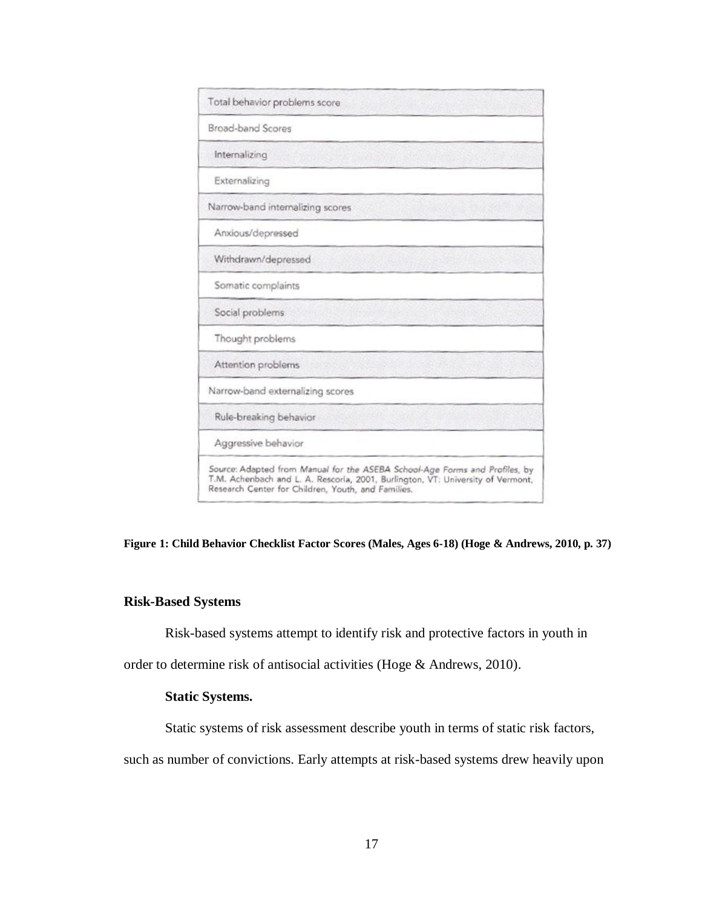

**Figure 1: Child Behavior Checklist Factor Scores (Males, Ages 6-18) (Hoge & Andrews, 2010, p. 37)**

# **Risk-Based Systems**

Risk-based systems attempt to identify risk and protective factors in youth in

order to determine risk of antisocial activities (Hoge & Andrews, 2010).

### **Static Systems.**

Static systems of risk assessment describe youth in terms of static risk factors,

such as number of convictions. Early attempts at risk-based systems drew heavily upon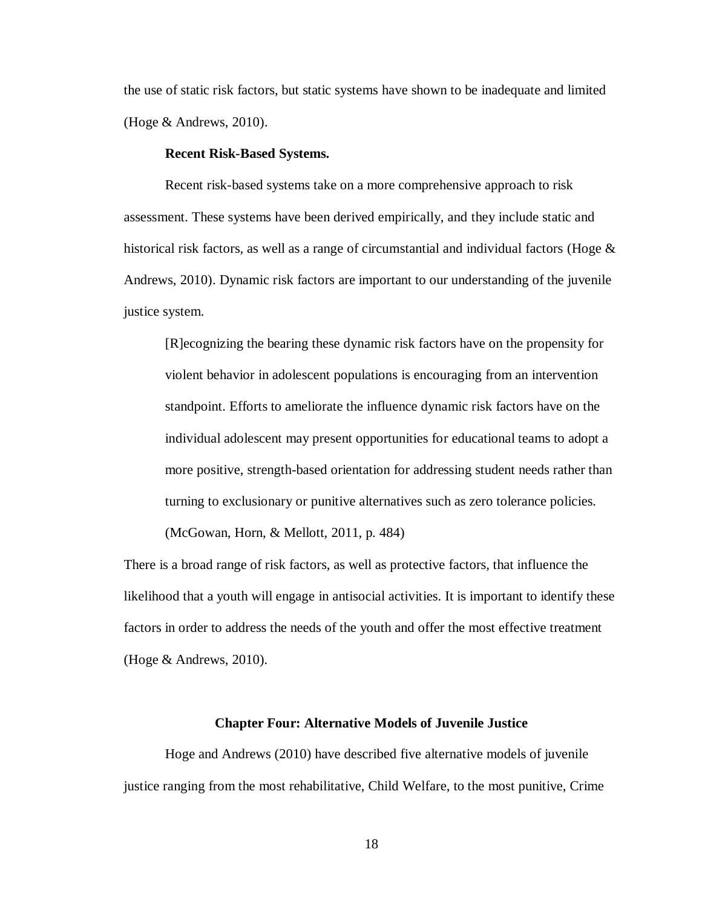the use of static risk factors, but static systems have shown to be inadequate and limited (Hoge & Andrews, 2010).

#### **Recent Risk-Based Systems.**

Recent risk-based systems take on a more comprehensive approach to risk assessment. These systems have been derived empirically, and they include static and historical risk factors, as well as a range of circumstantial and individual factors (Hoge  $\&$ Andrews, 2010). Dynamic risk factors are important to our understanding of the juvenile justice system.

[R]ecognizing the bearing these dynamic risk factors have on the propensity for violent behavior in adolescent populations is encouraging from an intervention standpoint. Efforts to ameliorate the influence dynamic risk factors have on the individual adolescent may present opportunities for educational teams to adopt a more positive, strength-based orientation for addressing student needs rather than turning to exclusionary or punitive alternatives such as zero tolerance policies.

(McGowan, Horn, & Mellott, 2011, p. 484)

There is a broad range of risk factors, as well as protective factors, that influence the likelihood that a youth will engage in antisocial activities. It is important to identify these factors in order to address the needs of the youth and offer the most effective treatment (Hoge & Andrews, 2010).

#### **Chapter Four: Alternative Models of Juvenile Justice**

Hoge and Andrews (2010) have described five alternative models of juvenile justice ranging from the most rehabilitative, Child Welfare, to the most punitive, Crime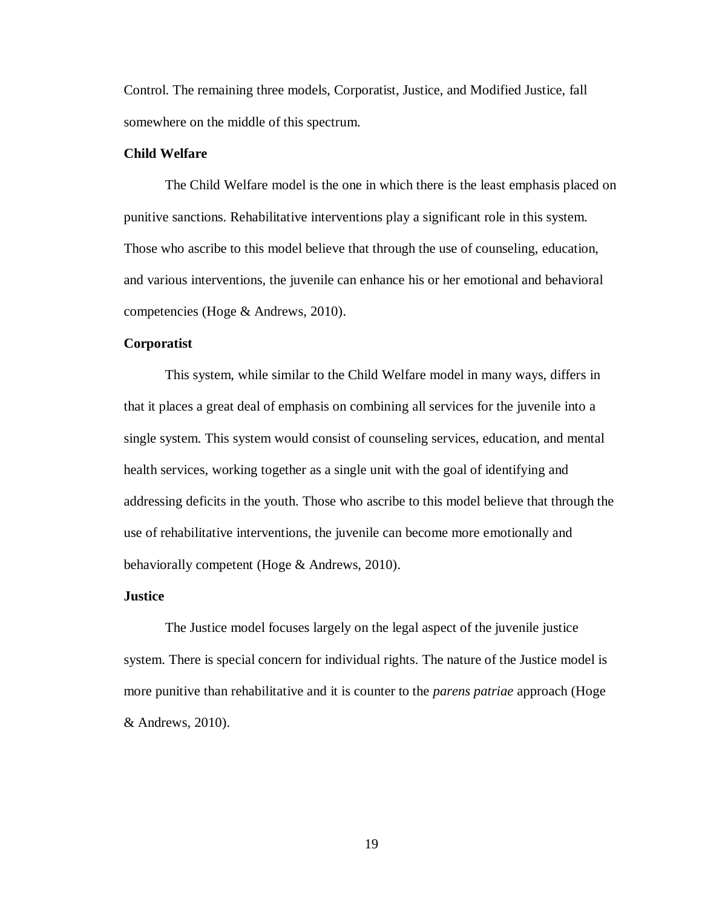Control. The remaining three models, Corporatist, Justice, and Modified Justice, fall somewhere on the middle of this spectrum.

# **Child Welfare**

The Child Welfare model is the one in which there is the least emphasis placed on punitive sanctions. Rehabilitative interventions play a significant role in this system. Those who ascribe to this model believe that through the use of counseling, education, and various interventions, the juvenile can enhance his or her emotional and behavioral competencies (Hoge & Andrews, 2010).

# **Corporatist**

This system, while similar to the Child Welfare model in many ways, differs in that it places a great deal of emphasis on combining all services for the juvenile into a single system. This system would consist of counseling services, education, and mental health services, working together as a single unit with the goal of identifying and addressing deficits in the youth. Those who ascribe to this model believe that through the use of rehabilitative interventions, the juvenile can become more emotionally and behaviorally competent (Hoge & Andrews, 2010).

#### **Justice**

The Justice model focuses largely on the legal aspect of the juvenile justice system. There is special concern for individual rights. The nature of the Justice model is more punitive than rehabilitative and it is counter to the *parens patriae* approach (Hoge & Andrews, 2010).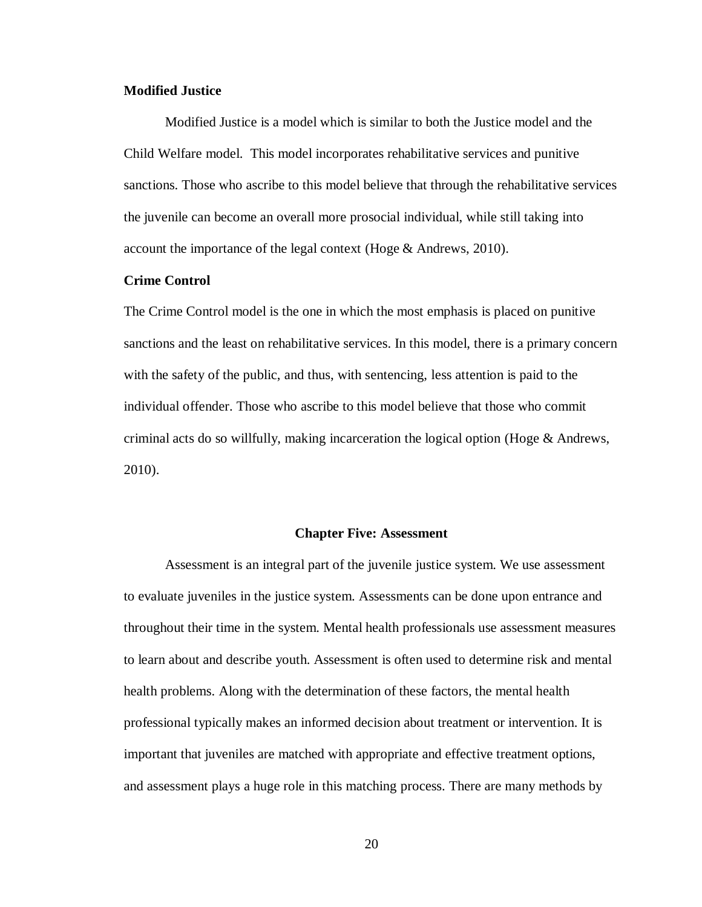# **Modified Justice**

Modified Justice is a model which is similar to both the Justice model and the Child Welfare model. This model incorporates rehabilitative services and punitive sanctions. Those who ascribe to this model believe that through the rehabilitative services the juvenile can become an overall more prosocial individual, while still taking into account the importance of the legal context (Hoge & Andrews, 2010).

# **Crime Control**

The Crime Control model is the one in which the most emphasis is placed on punitive sanctions and the least on rehabilitative services. In this model, there is a primary concern with the safety of the public, and thus, with sentencing, less attention is paid to the individual offender. Those who ascribe to this model believe that those who commit criminal acts do so willfully, making incarceration the logical option (Hoge  $\&$  Andrews, 2010).

#### **Chapter Five: Assessment**

Assessment is an integral part of the juvenile justice system. We use assessment to evaluate juveniles in the justice system. Assessments can be done upon entrance and throughout their time in the system. Mental health professionals use assessment measures to learn about and describe youth. Assessment is often used to determine risk and mental health problems. Along with the determination of these factors, the mental health professional typically makes an informed decision about treatment or intervention. It is important that juveniles are matched with appropriate and effective treatment options, and assessment plays a huge role in this matching process. There are many methods by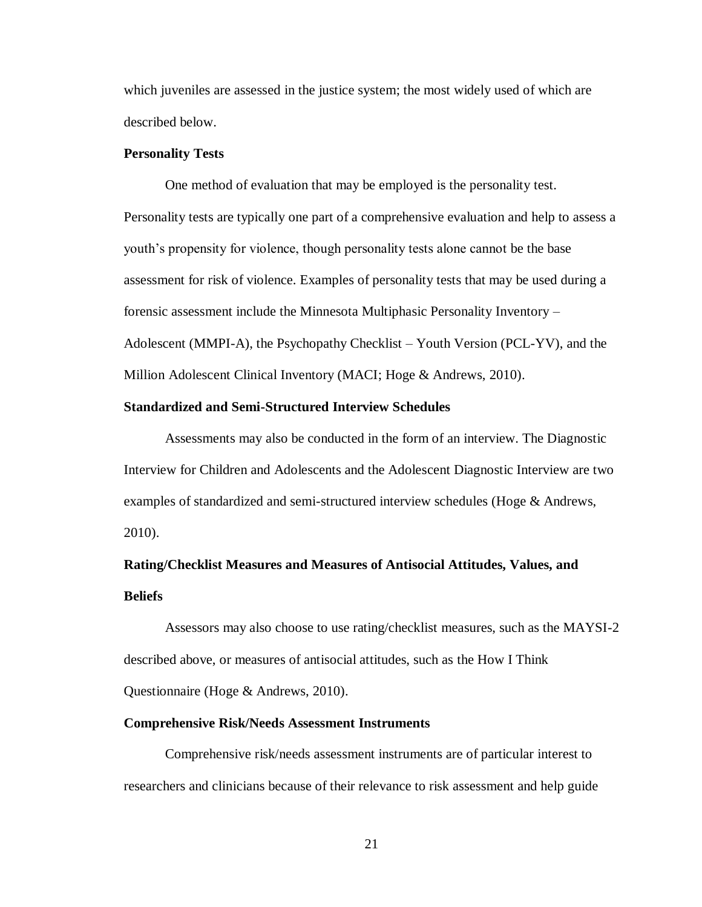which juveniles are assessed in the justice system; the most widely used of which are described below.

#### **Personality Tests**

One method of evaluation that may be employed is the personality test. Personality tests are typically one part of a comprehensive evaluation and help to assess a youth's propensity for violence, though personality tests alone cannot be the base assessment for risk of violence. Examples of personality tests that may be used during a forensic assessment include the Minnesota Multiphasic Personality Inventory – Adolescent (MMPI-A), the Psychopathy Checklist – Youth Version (PCL-YV), and the Million Adolescent Clinical Inventory (MACI; Hoge & Andrews, 2010).

#### **Standardized and Semi-Structured Interview Schedules**

Assessments may also be conducted in the form of an interview. The Diagnostic Interview for Children and Adolescents and the Adolescent Diagnostic Interview are two examples of standardized and semi-structured interview schedules (Hoge & Andrews, 2010).

# **Rating/Checklist Measures and Measures of Antisocial Attitudes, Values, and Beliefs**

Assessors may also choose to use rating/checklist measures, such as the MAYSI-2 described above, or measures of antisocial attitudes, such as the How I Think Questionnaire (Hoge & Andrews, 2010).

#### **Comprehensive Risk/Needs Assessment Instruments**

Comprehensive risk/needs assessment instruments are of particular interest to researchers and clinicians because of their relevance to risk assessment and help guide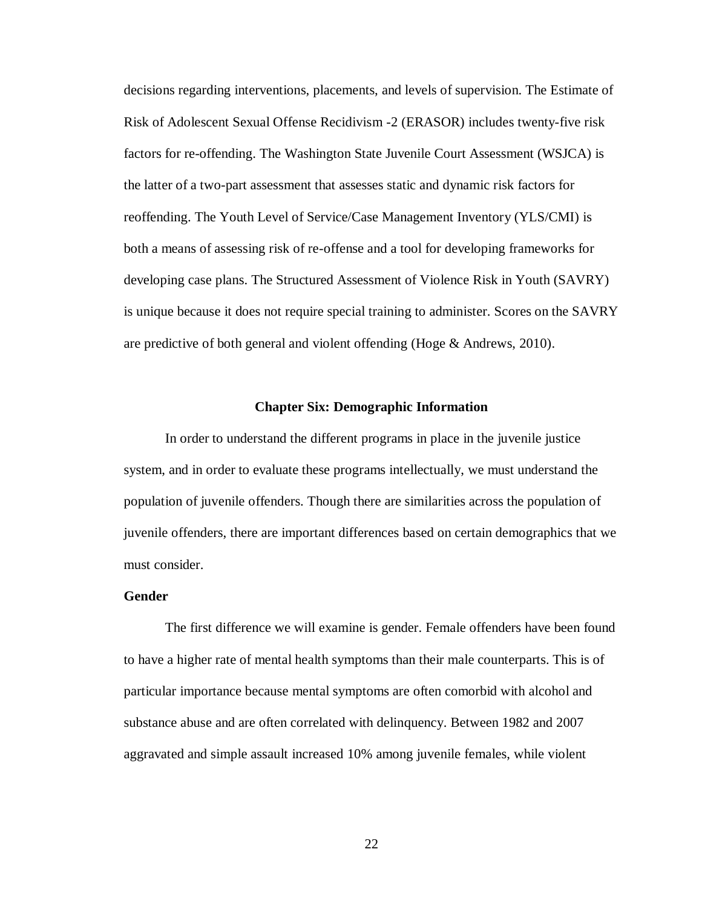decisions regarding interventions, placements, and levels of supervision. The Estimate of Risk of Adolescent Sexual Offense Recidivism -2 (ERASOR) includes twenty-five risk factors for re-offending. The Washington State Juvenile Court Assessment (WSJCA) is the latter of a two-part assessment that assesses static and dynamic risk factors for reoffending. The Youth Level of Service/Case Management Inventory (YLS/CMI) is both a means of assessing risk of re-offense and a tool for developing frameworks for developing case plans. The Structured Assessment of Violence Risk in Youth (SAVRY) is unique because it does not require special training to administer. Scores on the SAVRY are predictive of both general and violent offending (Hoge & Andrews, 2010).

### **Chapter Six: Demographic Information**

In order to understand the different programs in place in the juvenile justice system, and in order to evaluate these programs intellectually, we must understand the population of juvenile offenders. Though there are similarities across the population of juvenile offenders, there are important differences based on certain demographics that we must consider.

# **Gender**

The first difference we will examine is gender. Female offenders have been found to have a higher rate of mental health symptoms than their male counterparts. This is of particular importance because mental symptoms are often comorbid with alcohol and substance abuse and are often correlated with delinquency. Between 1982 and 2007 aggravated and simple assault increased 10% among juvenile females, while violent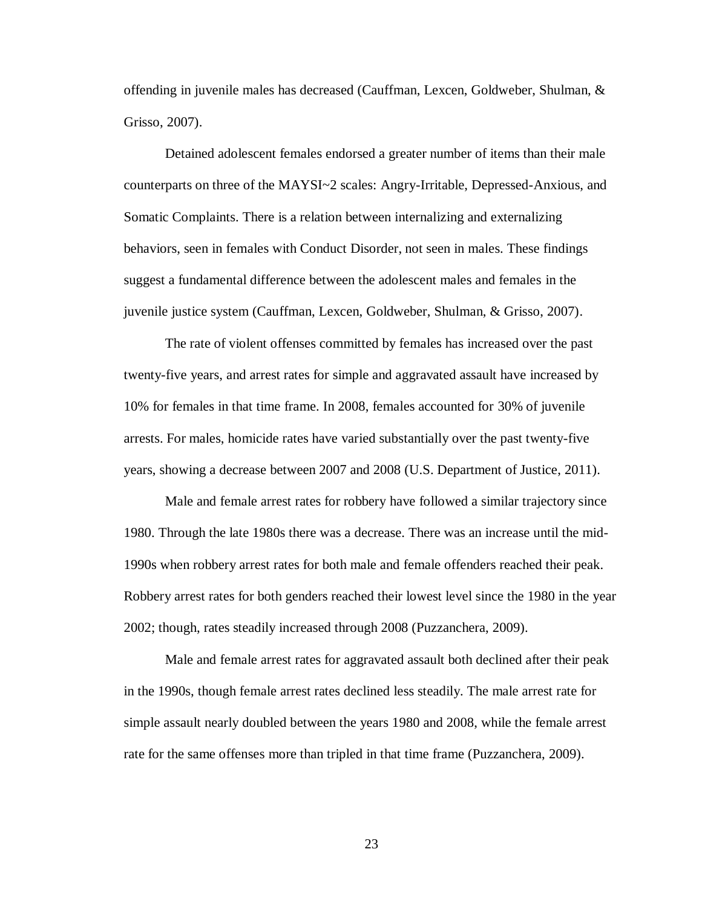offending in juvenile males has decreased (Cauffman, Lexcen, Goldweber, Shulman, & Grisso, 2007).

Detained adolescent females endorsed a greater number of items than their male counterparts on three of the MAYSI~2 scales: Angry-Irritable, Depressed-Anxious, and Somatic Complaints. There is a relation between internalizing and externalizing behaviors, seen in females with Conduct Disorder, not seen in males. These findings suggest a fundamental difference between the adolescent males and females in the juvenile justice system (Cauffman, Lexcen, Goldweber, Shulman, & Grisso, 2007).

The rate of violent offenses committed by females has increased over the past twenty-five years, and arrest rates for simple and aggravated assault have increased by 10% for females in that time frame. In 2008, females accounted for 30% of juvenile arrests. For males, homicide rates have varied substantially over the past twenty-five years, showing a decrease between 2007 and 2008 (U.S. Department of Justice, 2011).

Male and female arrest rates for robbery have followed a similar trajectory since 1980. Through the late 1980s there was a decrease. There was an increase until the mid-1990s when robbery arrest rates for both male and female offenders reached their peak. Robbery arrest rates for both genders reached their lowest level since the 1980 in the year 2002; though, rates steadily increased through 2008 (Puzzanchera, 2009).

Male and female arrest rates for aggravated assault both declined after their peak in the 1990s, though female arrest rates declined less steadily. The male arrest rate for simple assault nearly doubled between the years 1980 and 2008, while the female arrest rate for the same offenses more than tripled in that time frame (Puzzanchera, 2009).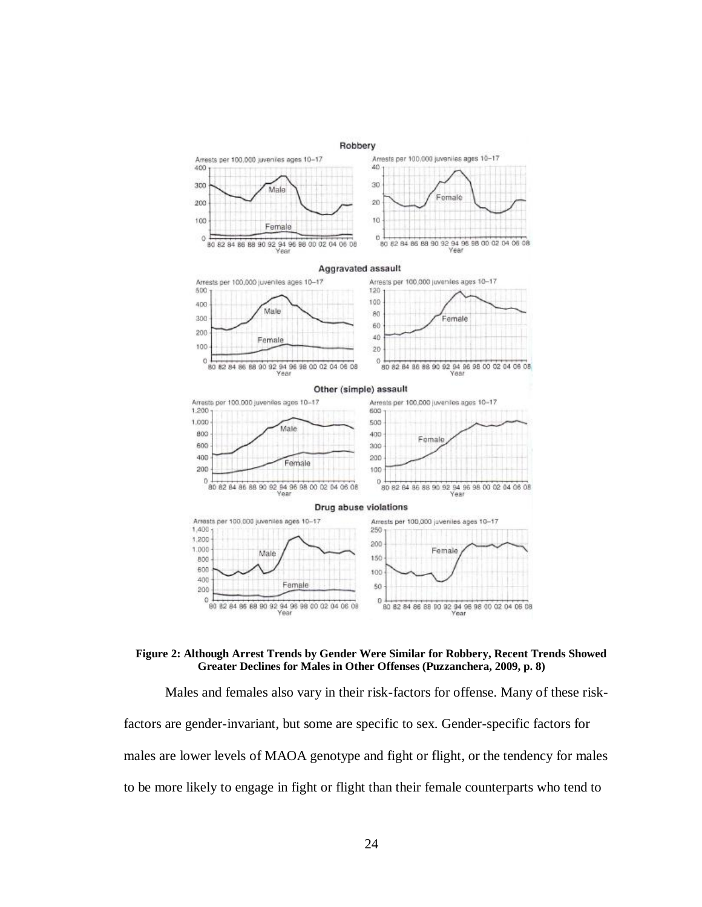

#### **Figure 2: Although Arrest Trends by Gender Were Similar for Robbery, Recent Trends Showed Greater Declines for Males in Other Offenses (Puzzanchera, 2009, p. 8)**

Males and females also vary in their risk-factors for offense. Many of these riskfactors are gender-invariant, but some are specific to sex. Gender-specific factors for males are lower levels of MAOA genotype and fight or flight, or the tendency for males to be more likely to engage in fight or flight than their female counterparts who tend to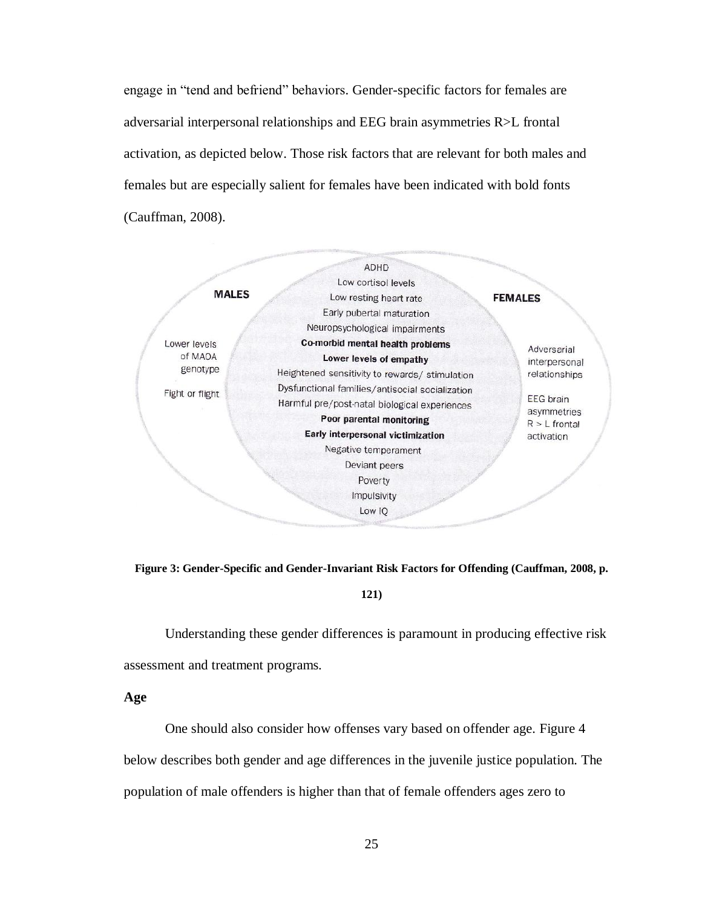engage in "tend and befriend" behaviors. Gender-specific factors for females are adversarial interpersonal relationships and EEG brain asymmetries R>L frontal activation, as depicted below. Those risk factors that are relevant for both males and females but are especially salient for females have been indicated with bold fonts (Cauffman, 2008).



**Figure 3: Gender-Specific and Gender-Invariant Risk Factors for Offending (Cauffman, 2008, p.** 

#### **121)**

Understanding these gender differences is paramount in producing effective risk assessment and treatment programs.

**Age**

One should also consider how offenses vary based on offender age. Figure 4 below describes both gender and age differences in the juvenile justice population. The population of male offenders is higher than that of female offenders ages zero to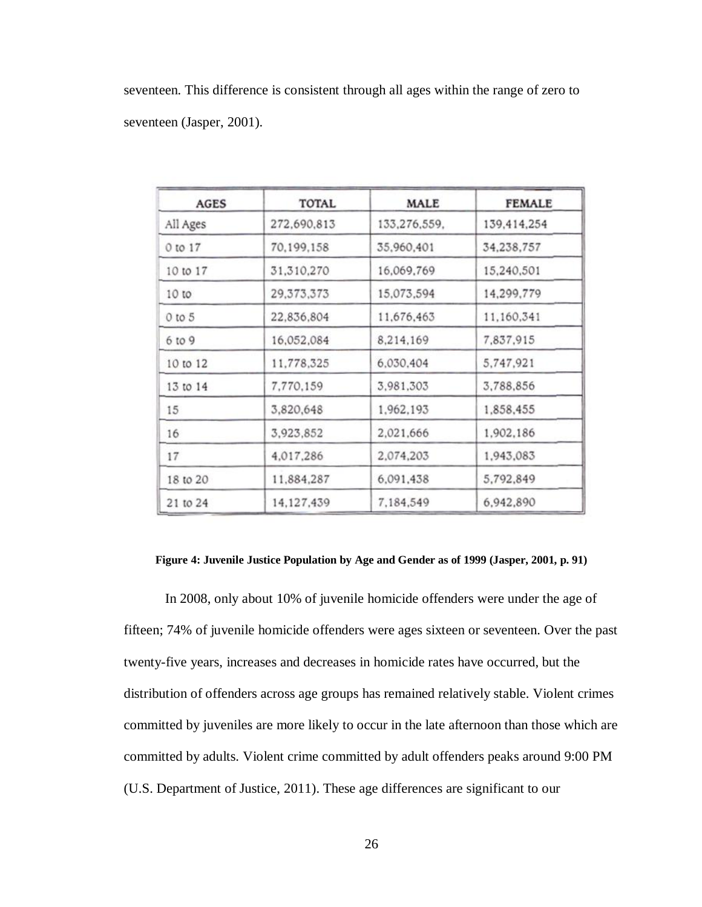seventeen. This difference is consistent through all ages within the range of zero to seventeen (Jasper, 2001).

| <b>AGES</b> | TOTAL        | MALE         | <b>FEMALE</b> |  |  |
|-------------|--------------|--------------|---------------|--|--|
| All Ages    | 272,690,813  | 133,276,559, | 139,414,254   |  |  |
| 0 to 17     | 70,199,158   | 35,960,401   | 34,238,757    |  |  |
| 10 to 17    | 31,310,270   | 16,069,769   | 15,240,501    |  |  |
| 10 to       | 29, 373, 373 | 15,073,594   | 14,299,779    |  |  |
| 0 to 5      | 22,836,804   | 11,676,463   | 11,160,341    |  |  |
| 6 to 9      | 16,052,084   | 8,214,169    | 7,837,915     |  |  |
| 10 to 12    | 11,778,325   | 6,030,404    | 5,747,921     |  |  |
| 13 to 14    | 7,770,159    | 3,981,303    | 3,788,856     |  |  |
| 15          | 3,820,648    | 1,962,193    | 1,858,455     |  |  |
| 16          | 3,923,852    | 2,021,666    | 1,902,186     |  |  |
| 17          | 4,017,286    | 2,074,203    | 1,943,083     |  |  |
| 18 to 20    | 11,884,287   | 6,091,438    | 5,792,849     |  |  |
| 21 to 24    | 14,127,439   | 7,184,549    | 6,942,890     |  |  |

#### **Figure 4: Juvenile Justice Population by Age and Gender as of 1999 (Jasper, 2001, p. 91)**

In 2008, only about 10% of juvenile homicide offenders were under the age of fifteen; 74% of juvenile homicide offenders were ages sixteen or seventeen. Over the past twenty-five years, increases and decreases in homicide rates have occurred, but the distribution of offenders across age groups has remained relatively stable. Violent crimes committed by juveniles are more likely to occur in the late afternoon than those which are committed by adults. Violent crime committed by adult offenders peaks around 9:00 PM (U.S. Department of Justice, 2011). These age differences are significant to our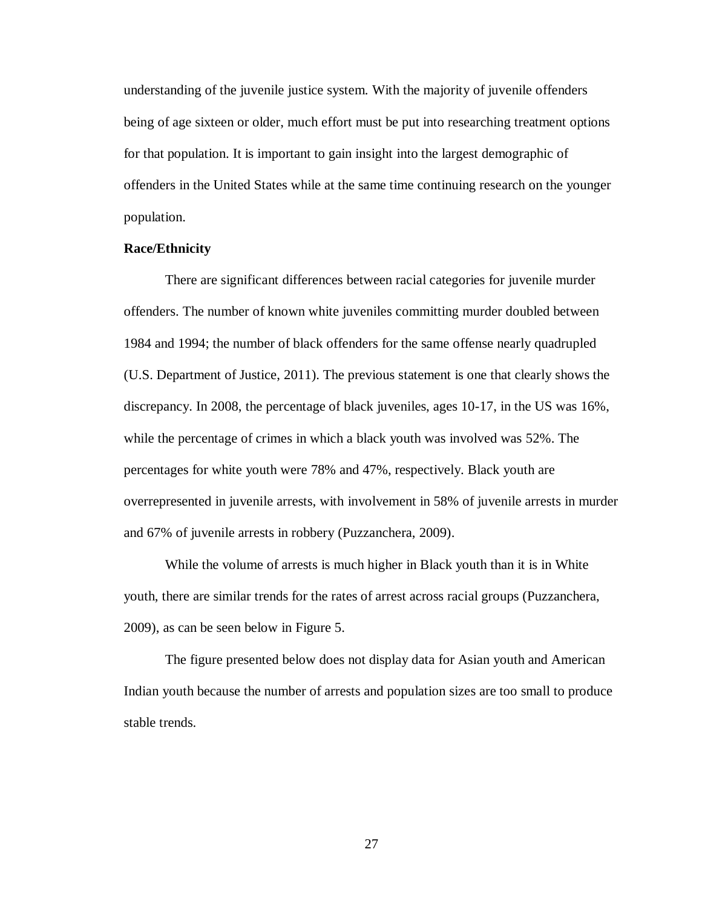understanding of the juvenile justice system. With the majority of juvenile offenders being of age sixteen or older, much effort must be put into researching treatment options for that population. It is important to gain insight into the largest demographic of offenders in the United States while at the same time continuing research on the younger population.

# **Race/Ethnicity**

There are significant differences between racial categories for juvenile murder offenders. The number of known white juveniles committing murder doubled between 1984 and 1994; the number of black offenders for the same offense nearly quadrupled (U.S. Department of Justice, 2011). The previous statement is one that clearly shows the discrepancy. In 2008, the percentage of black juveniles, ages 10-17, in the US was 16%, while the percentage of crimes in which a black youth was involved was 52%. The percentages for white youth were 78% and 47%, respectively. Black youth are overrepresented in juvenile arrests, with involvement in 58% of juvenile arrests in murder and 67% of juvenile arrests in robbery (Puzzanchera, 2009).

While the volume of arrests is much higher in Black youth than it is in White youth, there are similar trends for the rates of arrest across racial groups (Puzzanchera, 2009), as can be seen below in Figure 5.

The figure presented below does not display data for Asian youth and American Indian youth because the number of arrests and population sizes are too small to produce stable trends.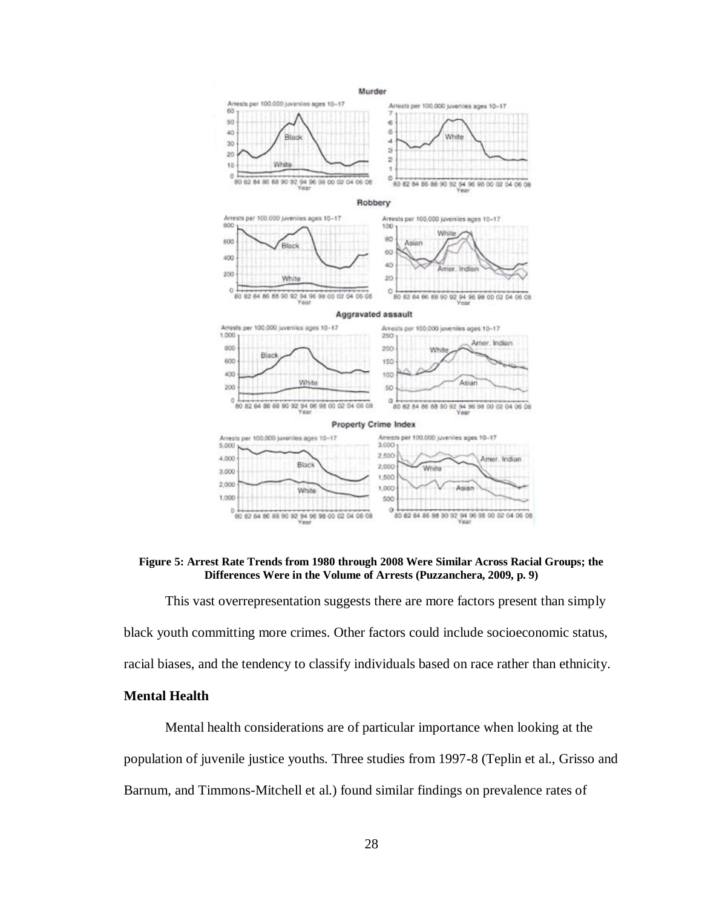

**Figure 5: Arrest Rate Trends from 1980 through 2008 Were Similar Across Racial Groups; the Differences Were in the Volume of Arrests (Puzzanchera, 2009, p. 9)**

This vast overrepresentation suggests there are more factors present than simply black youth committing more crimes. Other factors could include socioeconomic status, racial biases, and the tendency to classify individuals based on race rather than ethnicity.

# **Mental Health**

Mental health considerations are of particular importance when looking at the population of juvenile justice youths. Three studies from 1997-8 (Teplin et al., Grisso and Barnum, and Timmons-Mitchell et al.) found similar findings on prevalence rates of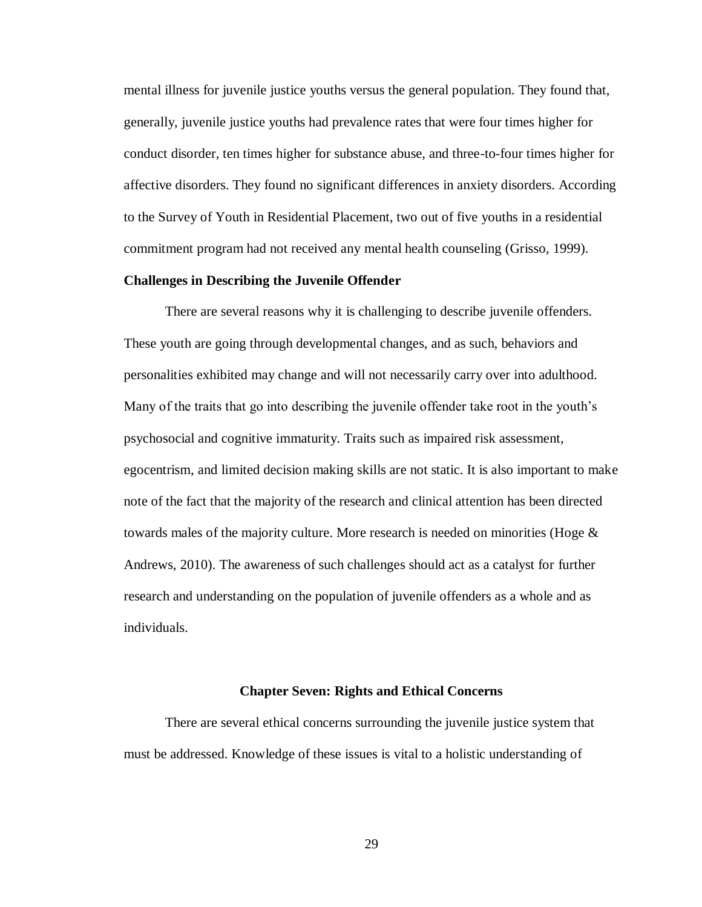mental illness for juvenile justice youths versus the general population. They found that, generally, juvenile justice youths had prevalence rates that were four times higher for conduct disorder, ten times higher for substance abuse, and three-to-four times higher for affective disorders. They found no significant differences in anxiety disorders. According to the Survey of Youth in Residential Placement, two out of five youths in a residential commitment program had not received any mental health counseling (Grisso, 1999).

# **Challenges in Describing the Juvenile Offender**

There are several reasons why it is challenging to describe juvenile offenders. These youth are going through developmental changes, and as such, behaviors and personalities exhibited may change and will not necessarily carry over into adulthood. Many of the traits that go into describing the juvenile offender take root in the youth's psychosocial and cognitive immaturity. Traits such as impaired risk assessment, egocentrism, and limited decision making skills are not static. It is also important to make note of the fact that the majority of the research and clinical attention has been directed towards males of the majority culture. More research is needed on minorities (Hoge  $\&$ Andrews, 2010). The awareness of such challenges should act as a catalyst for further research and understanding on the population of juvenile offenders as a whole and as individuals.

#### **Chapter Seven: Rights and Ethical Concerns**

There are several ethical concerns surrounding the juvenile justice system that must be addressed. Knowledge of these issues is vital to a holistic understanding of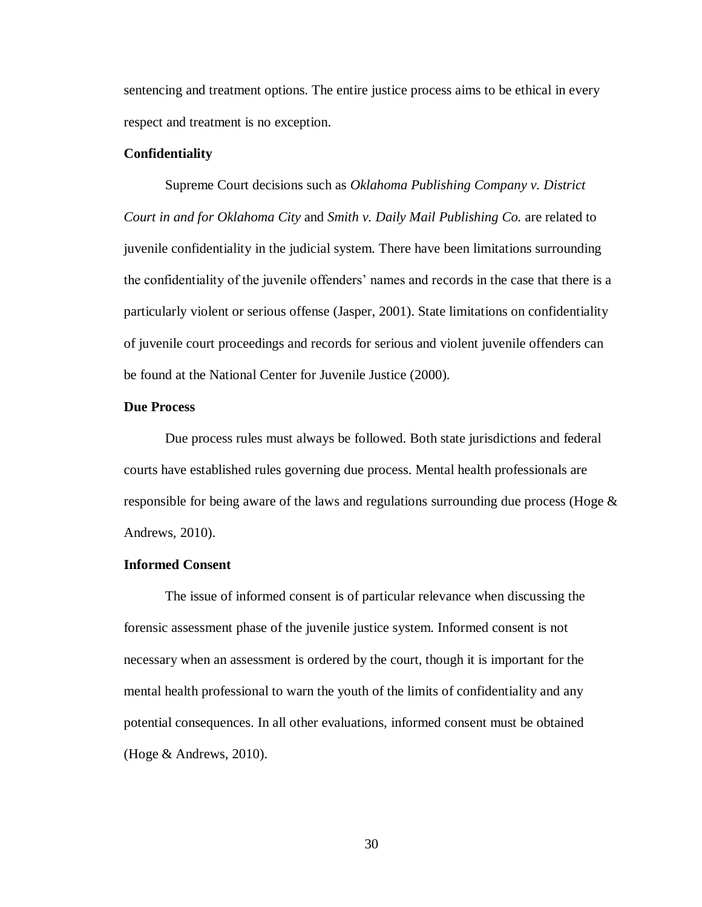sentencing and treatment options. The entire justice process aims to be ethical in every respect and treatment is no exception.

# **Confidentiality**

Supreme Court decisions such as *Oklahoma Publishing Company v. District Court in and for Oklahoma City* and *Smith v. Daily Mail Publishing Co.* are related to juvenile confidentiality in the judicial system. There have been limitations surrounding the confidentiality of the juvenile offenders' names and records in the case that there is a particularly violent or serious offense (Jasper, 2001). State limitations on confidentiality of juvenile court proceedings and records for serious and violent juvenile offenders can be found at the National Center for Juvenile Justice (2000).

### **Due Process**

Due process rules must always be followed. Both state jurisdictions and federal courts have established rules governing due process. Mental health professionals are responsible for being aware of the laws and regulations surrounding due process (Hoge  $\&$ Andrews, 2010).

# **Informed Consent**

The issue of informed consent is of particular relevance when discussing the forensic assessment phase of the juvenile justice system. Informed consent is not necessary when an assessment is ordered by the court, though it is important for the mental health professional to warn the youth of the limits of confidentiality and any potential consequences. In all other evaluations, informed consent must be obtained (Hoge & Andrews, 2010).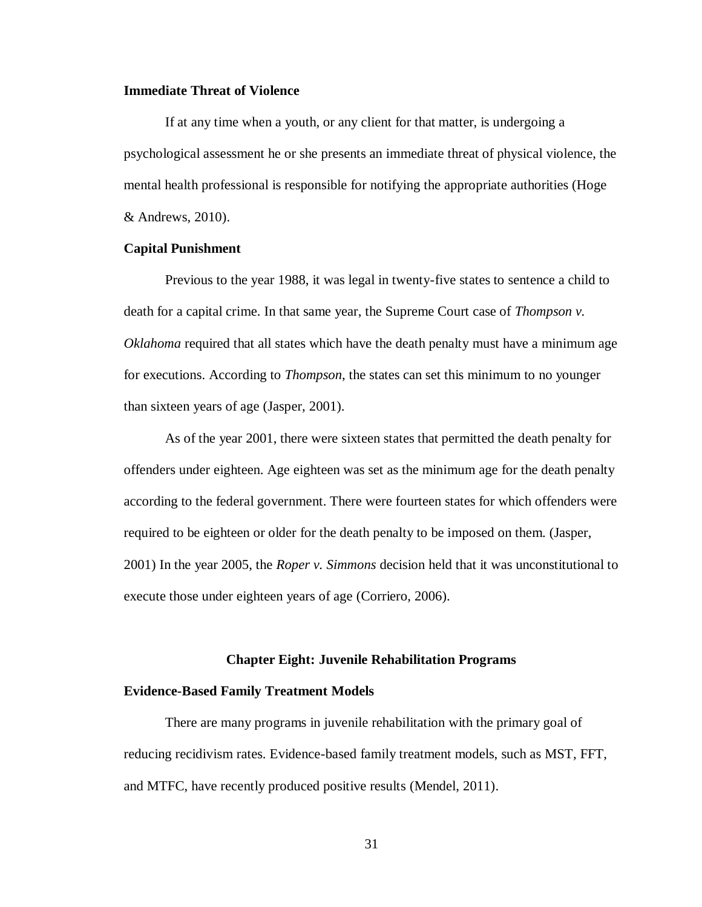### **Immediate Threat of Violence**

If at any time when a youth, or any client for that matter, is undergoing a psychological assessment he or she presents an immediate threat of physical violence, the mental health professional is responsible for notifying the appropriate authorities (Hoge & Andrews, 2010).

# **Capital Punishment**

Previous to the year 1988, it was legal in twenty-five states to sentence a child to death for a capital crime. In that same year, the Supreme Court case of *Thompson v. Oklahoma* required that all states which have the death penalty must have a minimum age for executions. According to *Thompson*, the states can set this minimum to no younger than sixteen years of age (Jasper, 2001).

As of the year 2001, there were sixteen states that permitted the death penalty for offenders under eighteen. Age eighteen was set as the minimum age for the death penalty according to the federal government. There were fourteen states for which offenders were required to be eighteen or older for the death penalty to be imposed on them. (Jasper, 2001) In the year 2005, the *Roper v. Simmons* decision held that it was unconstitutional to execute those under eighteen years of age (Corriero, 2006).

#### **Chapter Eight: Juvenile Rehabilitation Programs**

# **Evidence-Based Family Treatment Models**

There are many programs in juvenile rehabilitation with the primary goal of reducing recidivism rates. Evidence-based family treatment models, such as MST, FFT, and MTFC, have recently produced positive results (Mendel, 2011).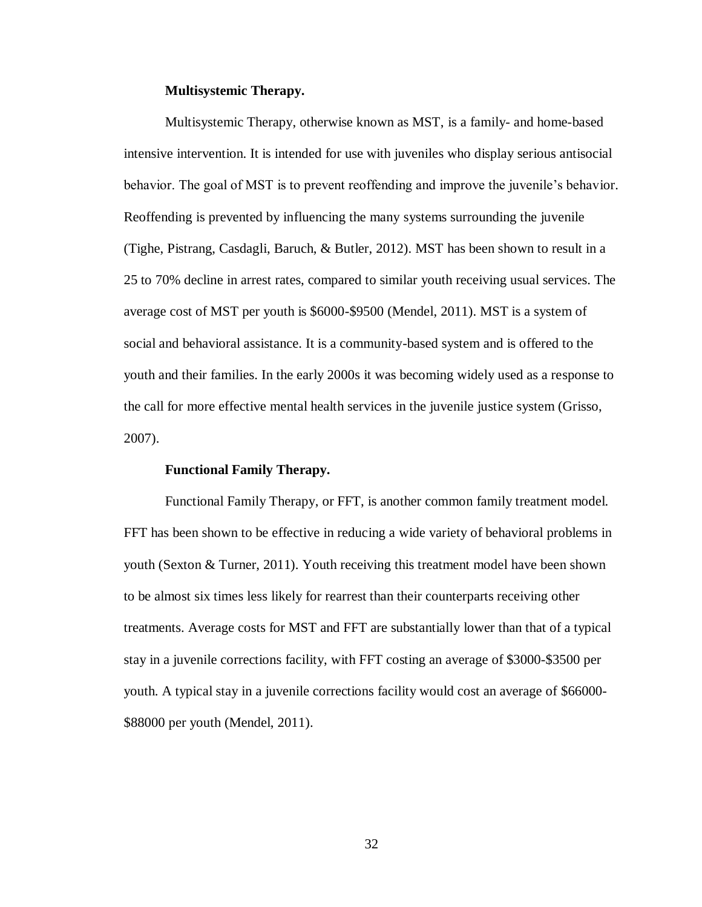# **Multisystemic Therapy.**

Multisystemic Therapy, otherwise known as MST, is a family- and home-based intensive intervention. It is intended for use with juveniles who display serious antisocial behavior. The goal of MST is to prevent reoffending and improve the juvenile's behavior. Reoffending is prevented by influencing the many systems surrounding the juvenile (Tighe, Pistrang, Casdagli, Baruch, & Butler, 2012). MST has been shown to result in a 25 to 70% decline in arrest rates, compared to similar youth receiving usual services. The average cost of MST per youth is \$6000-\$9500 (Mendel, 2011). MST is a system of social and behavioral assistance. It is a community-based system and is offered to the youth and their families. In the early 2000s it was becoming widely used as a response to the call for more effective mental health services in the juvenile justice system (Grisso, 2007).

#### **Functional Family Therapy.**

Functional Family Therapy, or FFT, is another common family treatment model. FFT has been shown to be effective in reducing a wide variety of behavioral problems in youth (Sexton & Turner, 2011). Youth receiving this treatment model have been shown to be almost six times less likely for rearrest than their counterparts receiving other treatments. Average costs for MST and FFT are substantially lower than that of a typical stay in a juvenile corrections facility, with FFT costing an average of \$3000-\$3500 per youth. A typical stay in a juvenile corrections facility would cost an average of \$66000- \$88000 per youth (Mendel, 2011).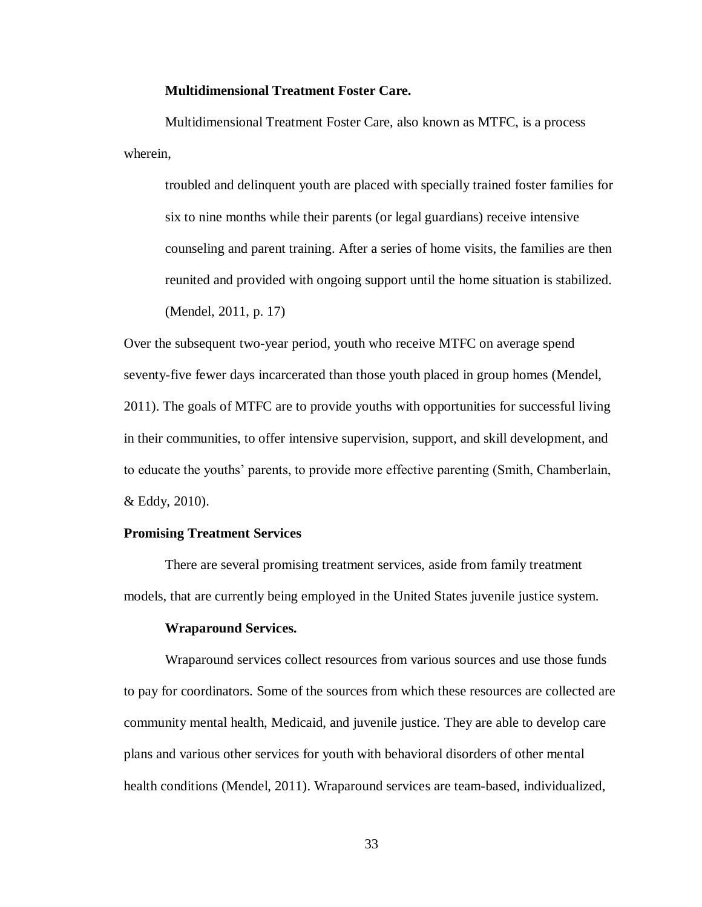# **Multidimensional Treatment Foster Care.**

Multidimensional Treatment Foster Care, also known as MTFC, is a process wherein,

troubled and delinquent youth are placed with specially trained foster families for six to nine months while their parents (or legal guardians) receive intensive counseling and parent training. After a series of home visits, the families are then reunited and provided with ongoing support until the home situation is stabilized. (Mendel, 2011, p. 17)

Over the subsequent two-year period, youth who receive MTFC on average spend seventy-five fewer days incarcerated than those youth placed in group homes (Mendel, 2011). The goals of MTFC are to provide youths with opportunities for successful living in their communities, to offer intensive supervision, support, and skill development, and to educate the youths' parents, to provide more effective parenting (Smith, Chamberlain, & Eddy, 2010).

# **Promising Treatment Services**

There are several promising treatment services, aside from family treatment models, that are currently being employed in the United States juvenile justice system.

#### **Wraparound Services.**

Wraparound services collect resources from various sources and use those funds to pay for coordinators. Some of the sources from which these resources are collected are community mental health, Medicaid, and juvenile justice. They are able to develop care plans and various other services for youth with behavioral disorders of other mental health conditions (Mendel, 2011). Wraparound services are team-based, individualized,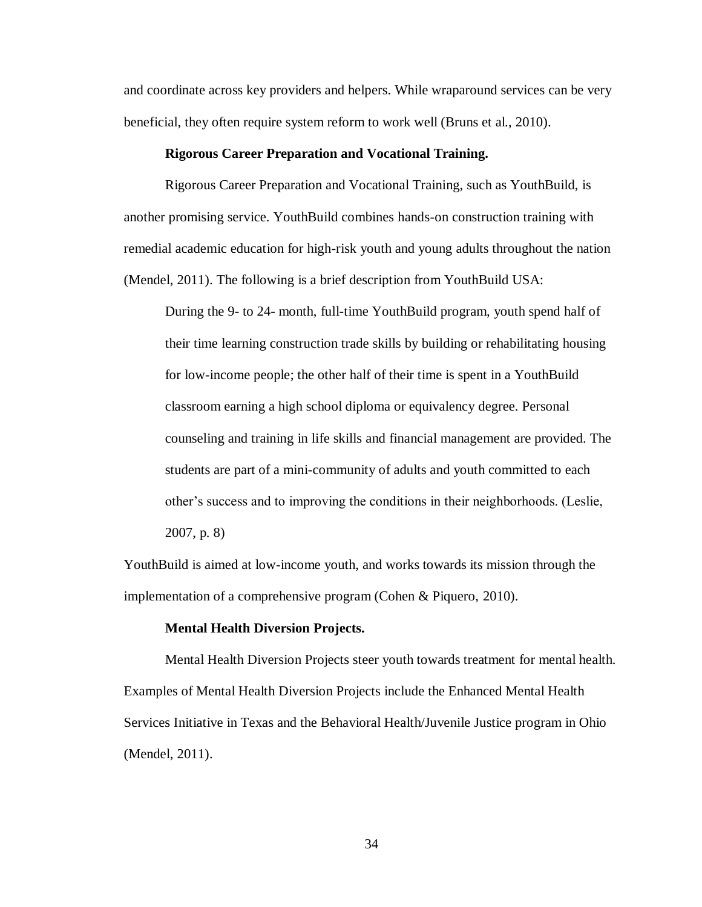and coordinate across key providers and helpers. While wraparound services can be very beneficial, they often require system reform to work well (Bruns et al., 2010).

# **Rigorous Career Preparation and Vocational Training.**

Rigorous Career Preparation and Vocational Training, such as YouthBuild, is another promising service. YouthBuild combines hands-on construction training with remedial academic education for high-risk youth and young adults throughout the nation (Mendel, 2011). The following is a brief description from YouthBuild USA:

During the 9- to 24- month, full-time YouthBuild program, youth spend half of their time learning construction trade skills by building or rehabilitating housing for low-income people; the other half of their time is spent in a YouthBuild classroom earning a high school diploma or equivalency degree. Personal counseling and training in life skills and financial management are provided. The students are part of a mini-community of adults and youth committed to each other's success and to improving the conditions in their neighborhoods. (Leslie, 2007, p. 8)

YouthBuild is aimed at low-income youth, and works towards its mission through the implementation of a comprehensive program (Cohen & Piquero, 2010).

#### **Mental Health Diversion Projects.**

Mental Health Diversion Projects steer youth towards treatment for mental health. Examples of Mental Health Diversion Projects include the Enhanced Mental Health Services Initiative in Texas and the Behavioral Health/Juvenile Justice program in Ohio (Mendel, 2011).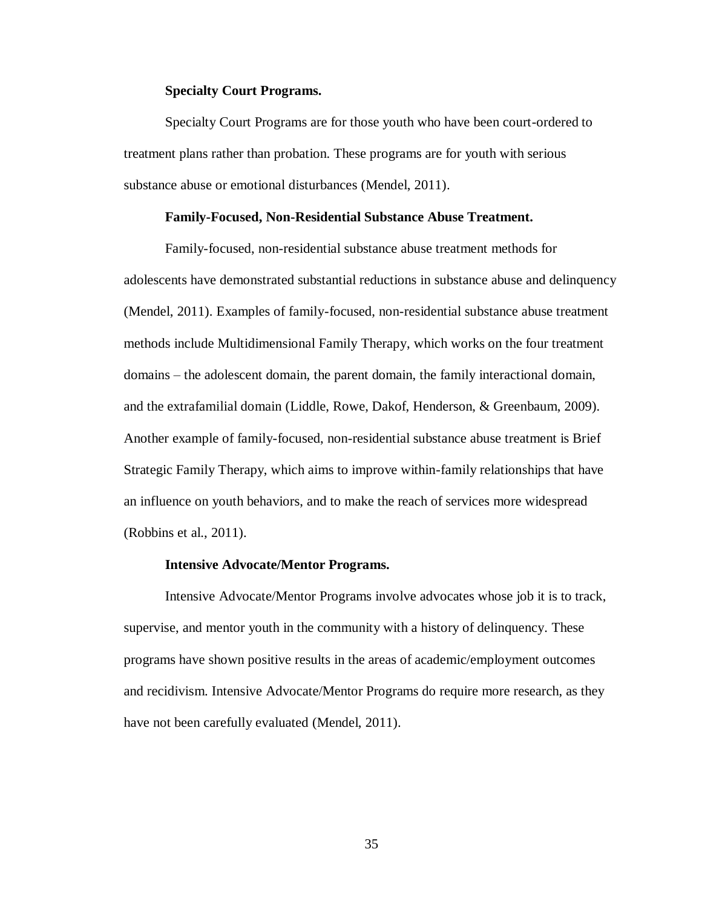# **Specialty Court Programs.**

Specialty Court Programs are for those youth who have been court-ordered to treatment plans rather than probation. These programs are for youth with serious substance abuse or emotional disturbances (Mendel, 2011).

#### **Family-Focused, Non-Residential Substance Abuse Treatment.**

Family-focused, non-residential substance abuse treatment methods for adolescents have demonstrated substantial reductions in substance abuse and delinquency (Mendel, 2011). Examples of family-focused, non-residential substance abuse treatment methods include Multidimensional Family Therapy, which works on the four treatment domains – the adolescent domain, the parent domain, the family interactional domain, and the extrafamilial domain (Liddle, Rowe, Dakof, Henderson, & Greenbaum, 2009). Another example of family-focused, non-residential substance abuse treatment is Brief Strategic Family Therapy, which aims to improve within-family relationships that have an influence on youth behaviors, and to make the reach of services more widespread (Robbins et al., 2011).

#### **Intensive Advocate/Mentor Programs.**

Intensive Advocate/Mentor Programs involve advocates whose job it is to track, supervise, and mentor youth in the community with a history of delinquency. These programs have shown positive results in the areas of academic/employment outcomes and recidivism. Intensive Advocate/Mentor Programs do require more research, as they have not been carefully evaluated (Mendel, 2011).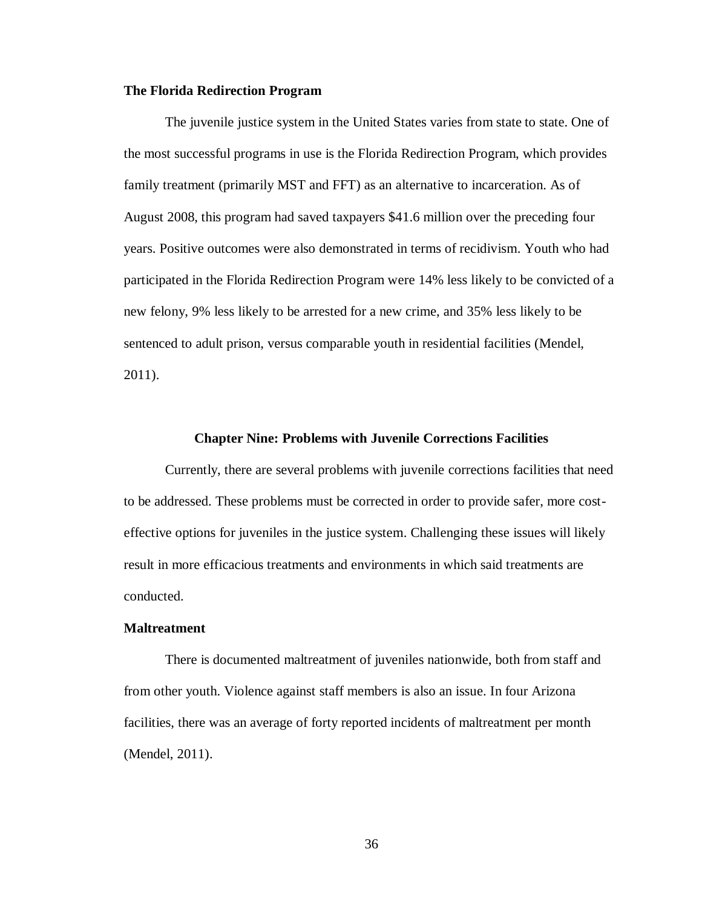#### **The Florida Redirection Program**

The juvenile justice system in the United States varies from state to state. One of the most successful programs in use is the Florida Redirection Program, which provides family treatment (primarily MST and FFT) as an alternative to incarceration. As of August 2008, this program had saved taxpayers \$41.6 million over the preceding four years. Positive outcomes were also demonstrated in terms of recidivism. Youth who had participated in the Florida Redirection Program were 14% less likely to be convicted of a new felony, 9% less likely to be arrested for a new crime, and 35% less likely to be sentenced to adult prison, versus comparable youth in residential facilities (Mendel, 2011).

#### **Chapter Nine: Problems with Juvenile Corrections Facilities**

Currently, there are several problems with juvenile corrections facilities that need to be addressed. These problems must be corrected in order to provide safer, more costeffective options for juveniles in the justice system. Challenging these issues will likely result in more efficacious treatments and environments in which said treatments are conducted.

#### **Maltreatment**

There is documented maltreatment of juveniles nationwide, both from staff and from other youth. Violence against staff members is also an issue. In four Arizona facilities, there was an average of forty reported incidents of maltreatment per month (Mendel, 2011).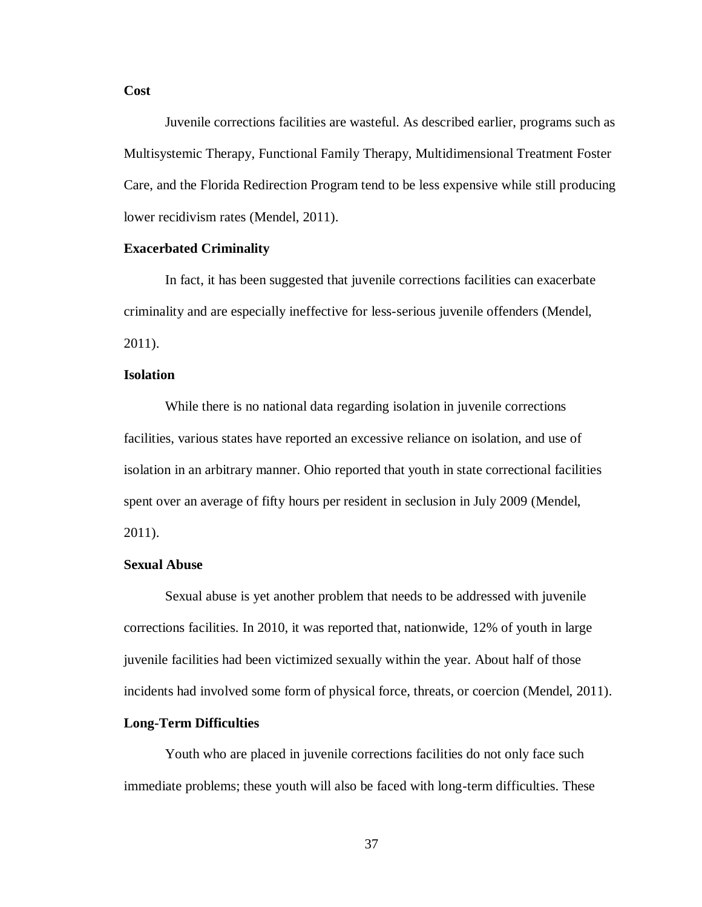### **Cost**

Juvenile corrections facilities are wasteful. As described earlier, programs such as Multisystemic Therapy, Functional Family Therapy, Multidimensional Treatment Foster Care, and the Florida Redirection Program tend to be less expensive while still producing lower recidivism rates (Mendel, 2011).

# **Exacerbated Criminality**

In fact, it has been suggested that juvenile corrections facilities can exacerbate criminality and are especially ineffective for less-serious juvenile offenders (Mendel, 2011).

# **Isolation**

While there is no national data regarding isolation in juvenile corrections facilities, various states have reported an excessive reliance on isolation, and use of isolation in an arbitrary manner. Ohio reported that youth in state correctional facilities spent over an average of fifty hours per resident in seclusion in July 2009 (Mendel, 2011).

#### **Sexual Abuse**

Sexual abuse is yet another problem that needs to be addressed with juvenile corrections facilities. In 2010, it was reported that, nationwide, 12% of youth in large juvenile facilities had been victimized sexually within the year. About half of those incidents had involved some form of physical force, threats, or coercion (Mendel, 2011).

#### **Long-Term Difficulties**

Youth who are placed in juvenile corrections facilities do not only face such immediate problems; these youth will also be faced with long-term difficulties. These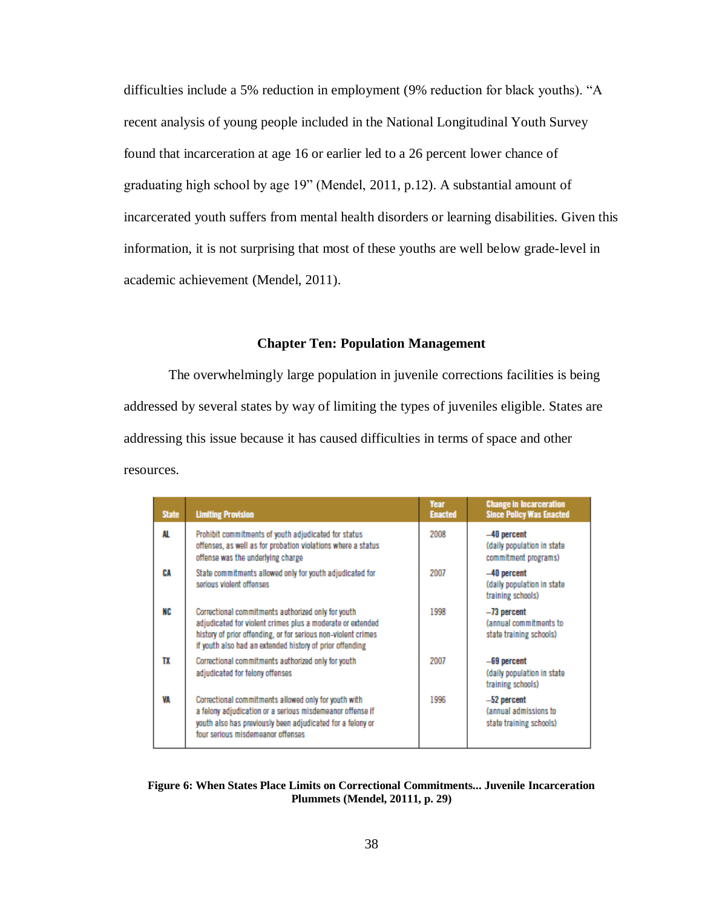difficulties include a 5% reduction in employment (9% reduction for black youths). "A recent analysis of young people included in the National Longitudinal Youth Survey found that incarceration at age 16 or earlier led to a 26 percent lower chance of graduating high school by age 19" (Mendel, 2011, p.12). A substantial amount of incarcerated youth suffers from mental health disorders or learning disabilities. Given this information, it is not surprising that most of these youths are well below grade-level in academic achievement (Mendel, 2011).

# **Chapter Ten: Population Management**

The overwhelmingly large population in juvenile corrections facilities is being addressed by several states by way of limiting the types of juveniles eligible. States are addressing this issue because it has caused difficulties in terms of space and other resources.

| <b>State</b> | <b>Limiting Provision</b>                                                                                                                                                                                                                     | Year<br><b>Enacted</b> | <b>Change in Incarceration</b><br><b>Since Policy Was Enacted</b>    |
|--------------|-----------------------------------------------------------------------------------------------------------------------------------------------------------------------------------------------------------------------------------------------|------------------------|----------------------------------------------------------------------|
| AL           | Prohibit commitments of youth adjudicated for status<br>offenses, as well as for probation violations where a status<br>offense was the underlying charge                                                                                     | 2008                   | $-40$ percent<br>(daily population in state)<br>commitment programs) |
| CA           | State commitments allowed only for youth adjudicated for<br>serious violent offenses                                                                                                                                                          | 2007                   | $-40$ percent<br>(daily population in state)<br>training schools)    |
| NC           | Correctional commitments authorized only for youth<br>adjudicated for violent crimes plus a moderate or extended<br>history of prior offending, or for serious non-violent crimes<br>If youth also had an extended history of prior offending | 1998                   | $-73$ percent<br>(annual commitments to<br>state training schools)   |
| TX           | Correctional commitments authorized only for youth<br>adjudicated for felony offenses                                                                                                                                                         | 2007                   | $-69$ percent<br>(daily population in state)<br>training schools)    |
| VA           | Correctional commitments allowed only for youth with<br>a felony adjudication or a serious misdemeanor offense if<br>youth also has previously been adjudicated for a felony or<br>four serious misdemeanor offenses                          | 1996                   | $-52$ percent<br>(annual admissions to<br>state training schools)    |

#### **Figure 6: When States Place Limits on Correctional Commitments... Juvenile Incarceration Plummets (Mendel, 20111, p. 29)**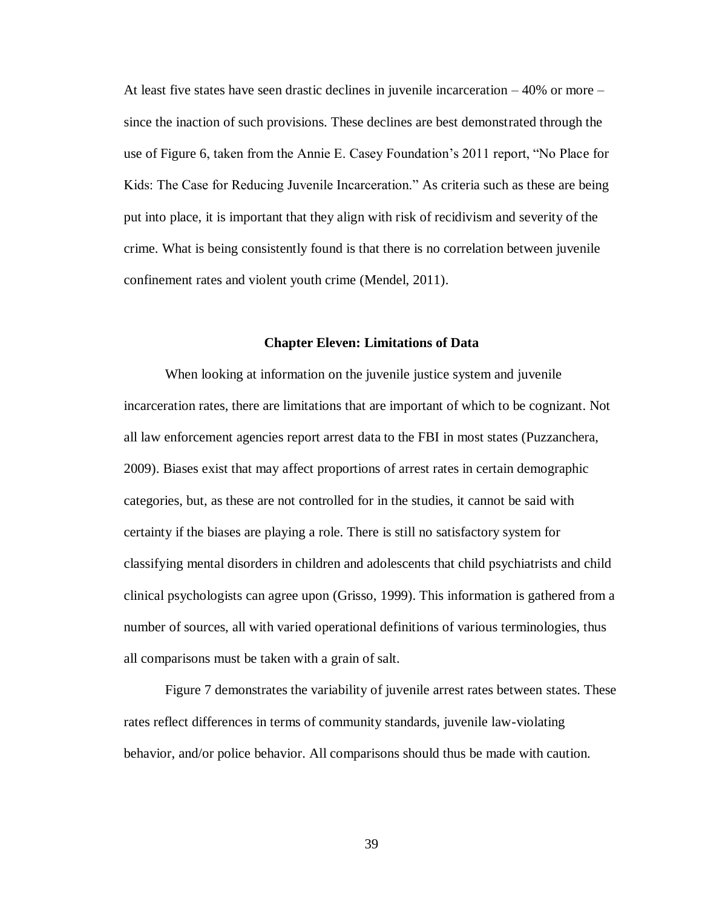At least five states have seen drastic declines in juvenile incarceration  $-40\%$  or more – since the inaction of such provisions. These declines are best demonstrated through the use of Figure 6, taken from the Annie E. Casey Foundation's 2011 report, "No Place for Kids: The Case for Reducing Juvenile Incarceration." As criteria such as these are being put into place, it is important that they align with risk of recidivism and severity of the crime. What is being consistently found is that there is no correlation between juvenile confinement rates and violent youth crime (Mendel, 2011).

# **Chapter Eleven: Limitations of Data**

When looking at information on the juvenile justice system and juvenile incarceration rates, there are limitations that are important of which to be cognizant. Not all law enforcement agencies report arrest data to the FBI in most states (Puzzanchera, 2009). Biases exist that may affect proportions of arrest rates in certain demographic categories, but, as these are not controlled for in the studies, it cannot be said with certainty if the biases are playing a role. There is still no satisfactory system for classifying mental disorders in children and adolescents that child psychiatrists and child clinical psychologists can agree upon (Grisso, 1999). This information is gathered from a number of sources, all with varied operational definitions of various terminologies, thus all comparisons must be taken with a grain of salt.

Figure 7 demonstrates the variability of juvenile arrest rates between states. These rates reflect differences in terms of community standards, juvenile law-violating behavior, and/or police behavior. All comparisons should thus be made with caution.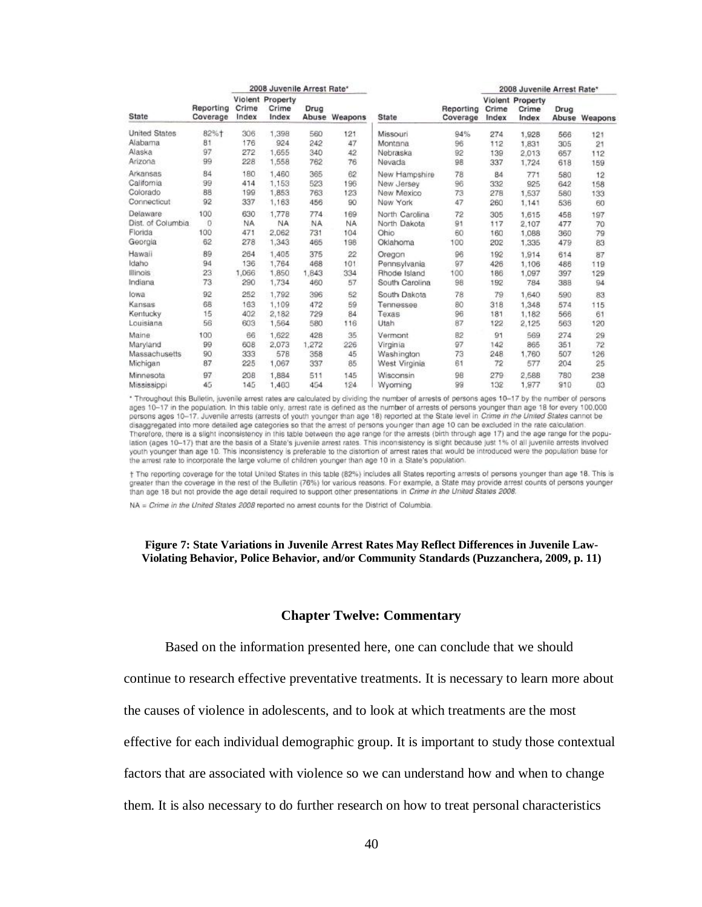| State                |                       | 2008 Juvenile Arrest Rate* |                                    |           |               |                | 2008 Juvenile Arrest Rate* |                |                                           |      |               |
|----------------------|-----------------------|----------------------------|------------------------------------|-----------|---------------|----------------|----------------------------|----------------|-------------------------------------------|------|---------------|
|                      | Reporting<br>Coverage | Crime<br>Index             | Violent Property<br>Crime<br>Index | Drug      | Abuse Weapons | <b>State</b>   | Reporting<br>Coverage      | Crime<br>Index | <b>Violent Property</b><br>Crime<br>Index | Drug | Abuse Weapons |
| <b>United States</b> | 82%+                  | 306                        | 1.398                              | 560       | 121           | Missouri       | 94%                        | 274            | 1,928                                     | 566  | 121           |
| Alabama              | 81                    | 176                        | 924                                | 242       | 47            | Montana        | 96                         | 112            | 1.831                                     | 305  | 21            |
| Alaska               | 97                    | 272                        | 1,655                              | 340       | 42            | Nebraska       | 92                         | 139            | 2,013                                     | 657  | 112           |
| Arizona              | 99                    | 228                        | 1,558                              | 762       | 76            | Nevada         | 98                         | 337            | 1,724                                     | 618  | 159           |
| Arkansas             | 84                    | 180                        | 1,460                              | 365       | 62            | New Hampshire  | 78                         | 84             | 771                                       | 580  | 12            |
| California           | 99                    | 414                        | 1,153                              | 523       | 196           | New Jersey     | 96                         | 332            | 925                                       | 642  | 158           |
| Colorado             | 88                    | 199                        | 1,853                              | 763       | 123           | New Mexico     | 73                         | 278            | 1.537                                     | 580  | 133           |
| Connecticut          | 92                    | 337                        | 1,163                              | 456       | 90            | New York       | 47                         | 260            | 1,141                                     | 536  | 60            |
| Delaware             | 100                   | 630                        | 1.778                              | 774       | 169           | North Carolina | 72                         | 305            | 1.615                                     | 458  | 197           |
| Dist. of Columbia    | O                     | NA.                        | <b>NA</b>                          | <b>NA</b> | <b>NA</b>     | North Dakota   | 91                         | 117            | 2.107                                     | 477  | 70            |
| Florida              | 100                   | 471                        | 2.062                              | 731       | 104           | Ohio           | 60                         | 160            | 1.088                                     | 360  | 79            |
| Georgia              | 62                    | 278                        | 1,343                              | 465       | 198           | Oklahoma       | 100                        | 202            | 1.335                                     | 479  | 83            |
| Hawaii               | 89                    | 264                        | 1.405                              | 375       | 22            | Oregon         | 96                         | 192            | 1,914                                     | 614  | 87            |
| Idaho                | 94                    | 136                        | 1,764                              | 468       | 101           | Pennsylvania   | 97                         | 426            | 1.106                                     | 486  | 119           |
| <b>Illinois</b>      | 23                    | 1,066                      | 1,850                              | 1,843     | 334           | Rhode Island   | 100                        | 186            | 1.097                                     | 397  | 129           |
| Indiana              | 73                    | 290                        | 1,734                              | 460       | 57            | South Carolina | 98                         | 192            | 784                                       | 388  | 94            |
| lowa                 | 92                    | 252                        | 1,792                              | 396       | 52            | South Dakota   | 78                         | 79             | 1,640                                     | 590  | 83            |
| Kansas               | 68                    | 163                        | 1,109                              | 472       | 59            | Tennessee      | 80                         | 318            | 1,348                                     | 574  | 115           |
| Kentucky             | 15                    | 402                        | 2,182                              | 729       | 84            | Texas          | 96                         | 181            | 1,182                                     | 566  | 61            |
| Louisiana            | 56                    | 603                        | 1,564                              | 580       | 116           | Utah           | 87                         | 122            | 2,125                                     | 563  | 120           |
| Maine                | 100                   | 66                         | 1.622                              | 428       | 35            | Vermont        | 82                         | 91             | 569                                       | 274  | 29            |
| Maryland             | 99                    | 608                        | 2,073                              | 1,272     | 226           | Virginia       | 97                         | 142            | 865                                       | 351  | 72            |
| Massachusetts        | 90                    | 333                        | 578                                | 358       | 45            | Washington     | 73                         | 248            | 1,760                                     | 507  | 126           |
| Michigan             | 87                    | 225                        | 1,067                              | 337       | 85            | West Virginia  | 61                         | 72             | 577                                       | 204  | 25            |
| Minnesota            | 97                    | 208                        | 1,884                              | 511       | 145           | Wisconsin      | 98                         | 279            | 2.588                                     | 780  | 238           |
| Mississippi          | 45                    | 145                        | 1,400                              | 454       | 124           | Wyoming        | 99                         | 132            | 1,977                                     | 910  | 03            |

\* Throughout this Bulletin, juvenile arrest rates are calculated by dividing the number of arrests of persons ages 10-17 by the number of persons ages 10-17 in the population. In this table only, arrest rate is defined as the number of arrests of persons younger than age 18 for every 100,000 persons ages 10-17. Juvenile arrests (arrests of youth younger than age 18) reported at the State level in Crime in the United States cannot be disaggregated into more detailed age categories so that the arrest of persons younger than age 10 can be excluded in the rate calculation. Therefore, there is a slight inconsistency in this table between the age range for the arrests (birth through age 17) and the age range for the population (ages 10-17) that are the basis of a State's juvenile arrest rates. This inconsistency is slight because just 1% of all juvenile arrests involved youth younger than age 10. This inconsistency is preferable to the distortion of arrest rates that would be introduced were the population base for the arrest rate to incorporate the large volume of children younger than age 10 in a State's population.

† The reporting coverage for the total United States in this table (82%) includes all States reporting arrests of persons younger than age 18. This is greater than the coverage in the rest of the Bulletin (76%) for various reasons. For example, a State may provide arrest counts of persons younger than age 18 but not provide the age detail required to support other presentations in Crime in the United States 2008.

NA = Crime in the United States 2008 reported no arrest counts for the District of Columbia.

#### **Figure 7: State Variations in Juvenile Arrest Rates May Reflect Differences in Juvenile Law-Violating Behavior, Police Behavior, and/or Community Standards (Puzzanchera, 2009, p. 11)**

#### **Chapter Twelve: Commentary**

Based on the information presented here, one can conclude that we should

continue to research effective preventative treatments. It is necessary to learn more about

the causes of violence in adolescents, and to look at which treatments are the most

effective for each individual demographic group. It is important to study those contextual

factors that are associated with violence so we can understand how and when to change

them. It is also necessary to do further research on how to treat personal characteristics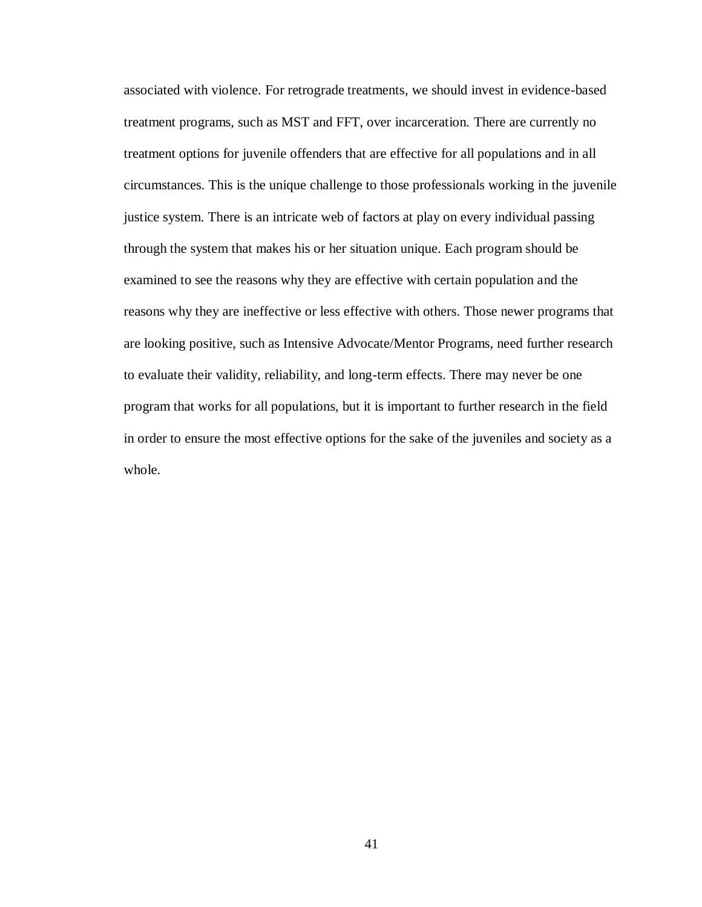associated with violence. For retrograde treatments, we should invest in evidence-based treatment programs, such as MST and FFT, over incarceration. There are currently no treatment options for juvenile offenders that are effective for all populations and in all circumstances. This is the unique challenge to those professionals working in the juvenile justice system. There is an intricate web of factors at play on every individual passing through the system that makes his or her situation unique. Each program should be examined to see the reasons why they are effective with certain population and the reasons why they are ineffective or less effective with others. Those newer programs that are looking positive, such as Intensive Advocate/Mentor Programs, need further research to evaluate their validity, reliability, and long-term effects. There may never be one program that works for all populations, but it is important to further research in the field in order to ensure the most effective options for the sake of the juveniles and society as a whole.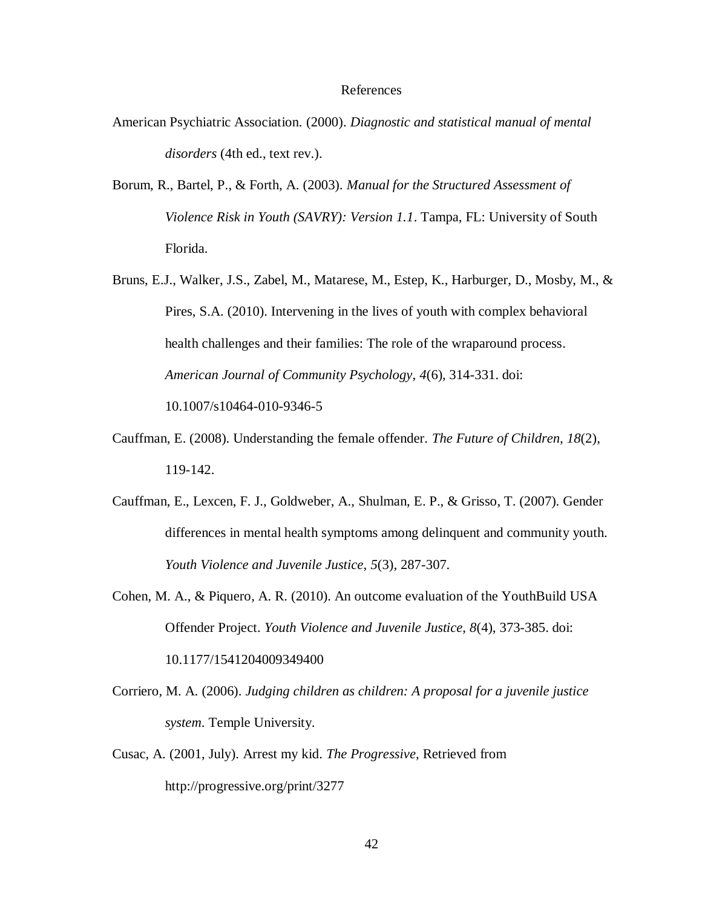#### References

- American Psychiatric Association. (2000). *Diagnostic and statistical manual of mental disorders* (4th ed., text rev.).
- Borum, R., Bartel, P., & Forth, A. (2003). *Manual for the Structured Assessment of Violence Risk in Youth (SAVRY): Version 1.1*. Tampa, FL: University of South Florida.
- Bruns, E.J., Walker, J.S., Zabel, M., Matarese, M., Estep, K., Harburger, D., Mosby, M., & Pires, S.A. (2010). Intervening in the lives of youth with complex behavioral health challenges and their families: The role of the wraparound process. *American Journal of Community Psychology, 4*(6), 314-331. doi: 10.1007/s10464-010-9346-5
- Cauffman, E. (2008). Understanding the female offender. *The Future of Children, 18*(2), 119-142.
- Cauffman, E., Lexcen, F. J., Goldweber, A., Shulman, E. P., & Grisso, T. (2007). Gender differences in mental health symptoms among delinquent and community youth. *Youth Violence and Juvenile Justice*, *5*(3), 287-307.
- Cohen, M. A., & Piquero, A. R. (2010). An outcome evaluation of the YouthBuild USA Offender Project. *Youth Violence and Juvenile Justice*, *8*(4), 373-385. doi: 10.1177/1541204009349400
- Corriero, M. A. (2006). *Judging children as children: A proposal for a juvenile justice system*. Temple University.
- Cusac, A. (2001, July). Arrest my kid. *The Progressive*, Retrieved from http://progressive.org/print/3277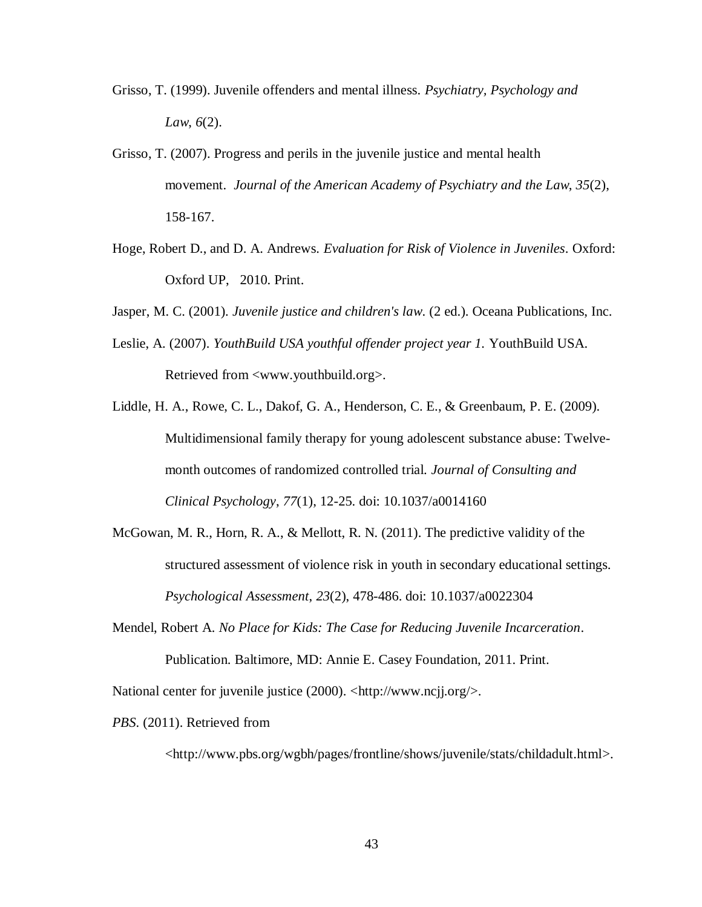- Grisso, T. (1999). Juvenile offenders and mental illness. *Psychiatry, Psychology and Law*, *6*(2).
- Grisso, T. (2007). Progress and perils in the juvenile justice and mental health movement. *Journal of the American Academy of Psychiatry and the Law*, *35*(2), 158-167.
- Hoge, Robert D., and D. A. Andrews. *Evaluation for Risk of Violence in Juveniles*. Oxford: Oxford UP, 2010. Print.
- Jasper, M. C. (2001). *Juvenile justice and children's law*. (2 ed.). Oceana Publications, Inc.
- Leslie, A. (2007). *YouthBuild USA youthful offender project year 1.* YouthBuild USA. Retrieved from <www.youthbuild.org>.
- Liddle, H. A., Rowe, C. L., Dakof, G. A., Henderson, C. E., & Greenbaum, P. E. (2009). Multidimensional family therapy for young adolescent substance abuse: Twelvemonth outcomes of randomized controlled trial. *Journal of Consulting and Clinical Psychology*, *77*(1), 12-25. doi: 10.1037/a0014160
- McGowan, M. R., Horn, R. A., & Mellott, R. N. (2011). The predictive validity of the structured assessment of violence risk in youth in secondary educational settings. *Psychological Assessment*, *23*(2), 478-486. doi: 10.1037/a0022304
- Mendel, Robert A. *No Place for Kids: The Case for Reducing Juvenile Incarceration*. Publication. Baltimore, MD: Annie E. Casey Foundation, 2011. Print.

National center for juvenile justice (2000). <http://www.ncjj.org/>.

*PBS*. (2011). Retrieved from

<http://www.pbs.org/wgbh/pages/frontline/shows/juvenile/stats/childadult.html>.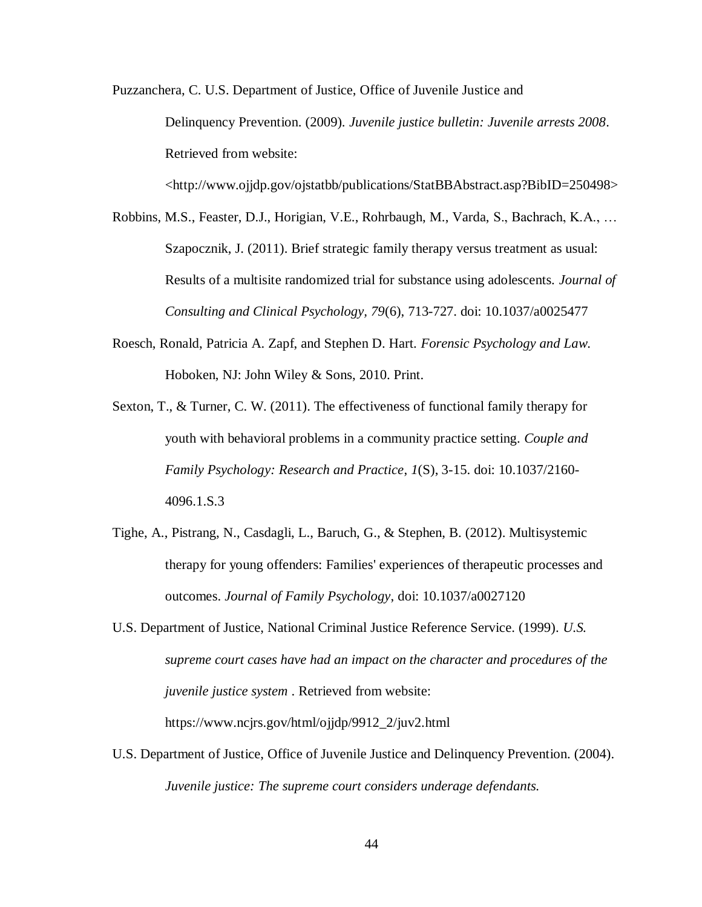Puzzanchera, C. U.S. Department of Justice, Office of Juvenile Justice and Delinquency Prevention. (2009). *Juvenile justice bulletin: Juvenile arrests 2008*. Retrieved from website:

<http://www.ojjdp.gov/ojstatbb/publications/StatBBAbstract.asp?BibID=250498>

- Robbins, M.S., Feaster, D.J., Horigian, V.E., Rohrbaugh, M., Varda, S., Bachrach, K.A., … Szapocznik, J. (2011). Brief strategic family therapy versus treatment as usual: Results of a multisite randomized trial for substance using adolescents. *Journal of Consulting and Clinical Psychology, 79*(6), 713-727. doi: 10.1037/a0025477
- Roesch, Ronald, Patricia A. Zapf, and Stephen D. Hart. *Forensic Psychology and Law*. Hoboken, NJ: John Wiley & Sons, 2010. Print.
- Sexton, T., & Turner, C. W. (2011). The effectiveness of functional family therapy for youth with behavioral problems in a community practice setting. *Couple and Family Psychology: Research and Practice*, *1*(S), 3-15. doi: 10.1037/2160- 4096.1.S.3
- Tighe, A., Pistrang, N., Casdagli, L., Baruch, G., & Stephen, B. (2012). Multisystemic therapy for young offenders: Families' experiences of therapeutic processes and outcomes. *Journal of Family Psychology*, doi: 10.1037/a0027120
- U.S. Department of Justice, National Criminal Justice Reference Service. (1999). *U.S. supreme court cases have had an impact on the character and procedures of the juvenile justice system* . Retrieved from website: https://www.ncjrs.gov/html/ojjdp/9912\_2/juv2.html
- U.S. Department of Justice, Office of Juvenile Justice and Delinquency Prevention. (2004). *Juvenile justice: The supreme court considers underage defendants.*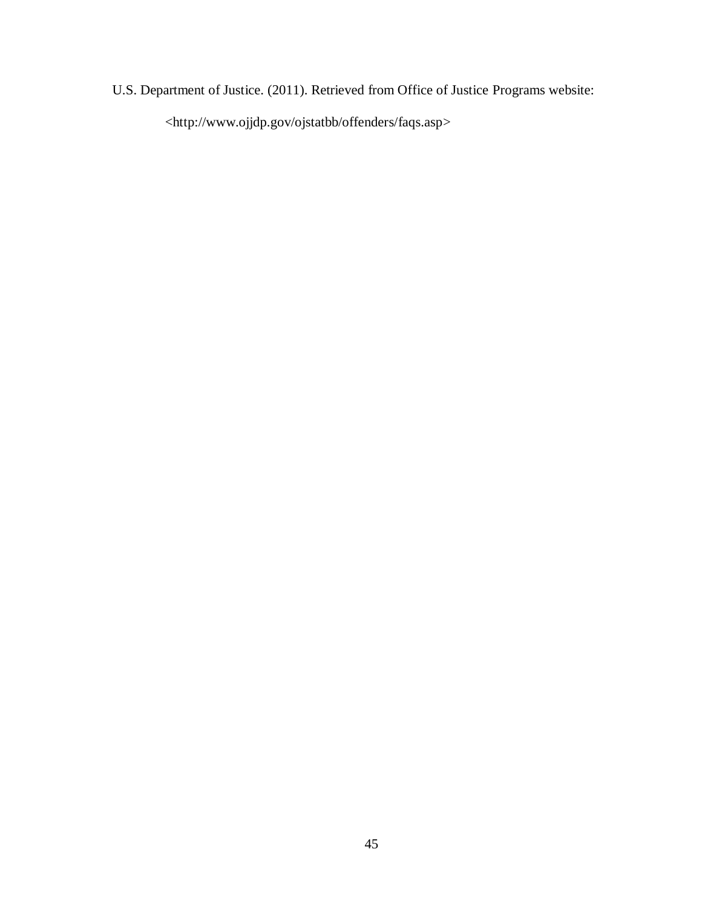U.S. Department of Justice. (2011). Retrieved from Office of Justice Programs website: <http://www.ojjdp.gov/ojstatbb/offenders/faqs.asp>